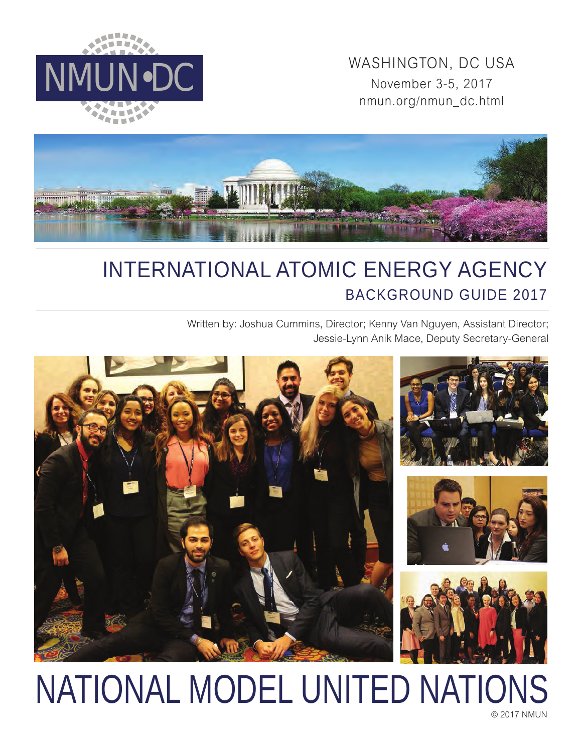

WASHINGTON, DC USA<br>November 3-5, 2017 November 3-5, 2017 nmun.org/nmun\_dc.html



# INTERNATIONAL ATOMIC ENERGY AGENCY BACKGROUND GUIDE 2017

Written by: Joshua Cummins, Director; Kenny Van Nguyen, Assistant Director; Jessie-Lynn Anik Mace, Deputy Secretary-General



# NATIONAL MODEL UNITED NATIONS

© 2017 NMUN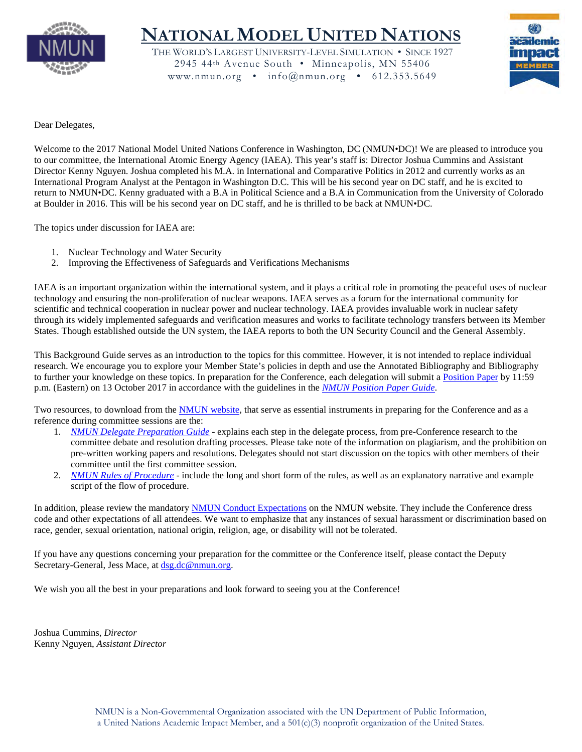

# **NATIONAL MODEL UNITED NATIONS**

THE WORLD'S LARGEST UNIVERSITY-LEVEL SIMULATION • SINCE 1927 2945 44th Avenue South • Minneapolis, MN 55406 www.nmun.org • info@nmun.org • 612.353.5649



Dear Delegates,

Welcome to the 2017 National Model United Nations Conference in Washington, DC (NMUN•DC)! We are pleased to introduce you to our committee, the International Atomic Energy Agency (IAEA). This year's staff is: Director Joshua Cummins and Assistant Director Kenny Nguyen. Joshua completed his M.A. in International and Comparative Politics in 2012 and currently works as an International Program Analyst at the Pentagon in Washington D.C. This will be his second year on DC staff, and he is excited to return to NMUN•DC. Kenny graduated with a B.A in Political Science and a B.A in Communication from the University of Colorado at Boulder in 2016. This will be his second year on DC staff, and he is thrilled to be back at NMUN•DC.

The topics under discussion for IAEA are:

- 1. Nuclear Technology and Water Security
- 2. Improving the Effectiveness of Safeguards and Verifications Mechanisms

IAEA is an important organization within the international system, and it plays a critical role in promoting the peaceful uses of nuclear technology and ensuring the non-proliferation of nuclear weapons. IAEA serves as a forum for the international community for scientific and technical cooperation in nuclear power and nuclear technology. IAEA provides invaluable work in nuclear safety through its widely implemented safeguards and verification measures and works to facilitate technology transfers between its Member States. Though established outside the UN system, the IAEA reports to both the UN Security Council and the General Assembly.

This Background Guide serves as an introduction to the topics for this committee. However, it is not intended to replace individual research. We encourage you to explore your Member State's policies in depth and use the Annotated Bibliography and Bibliography to further your knowledge on these topics. In preparation for the Conference, each delegation will submit a [Position Paper](http://nmun.org/dc_position_papers.html) by 11:59 p.m. (Eastern) on 13 October 2017 in accordance with the guidelines in the *[NMUN Position Paper Guide](http://nmun.org/downloads/NMUNPPGuide.pdf)*.

Two resources, to download from the [NMUN website,](http://nmun.org/dc_preparations.html) that serve as essential instruments in preparing for the Conference and as a reference during committee sessions are the:

- 1. *[NMUN Delegate Preparation Guide](http://nmun.org/downloads/NMUNDelegatePrepGuide.pdf)* explains each step in the delegate process, from pre-Conference research to the committee debate and resolution drafting processes. Please take note of the information on plagiarism, and the prohibition on pre-written working papers and resolutions. Delegates should not start discussion on the topics with other members of their committee until the first committee session.
- 2. *[NMUN Rules of Procedure](http://nmun.org/downloads/NMUNRules.pdf)* include the long and short form of the rules, as well as an explanatory narrative and example script of the flow of procedure.

In addition, please review the mandatory [NMUN Conduct](http://nmun.org/policies_codes.html) Expectations on the NMUN website. They include the Conference dress code and other expectations of all attendees. We want to emphasize that any instances of sexual harassment or discrimination based on race, gender, sexual orientation, national origin, religion, age, or disability will not be tolerated.

If you have any questions concerning your preparation for the committee or the Conference itself, please contact the Deputy Secretary-General, Jess Mace, at [dsg.dc@nmun.org.](mailto:dsg.dc@nmun.org)

We wish you all the best in your preparations and look forward to seeing you at the Conference!

Joshua Cummins, *Director* Kenny Nguyen, *Assistant Director*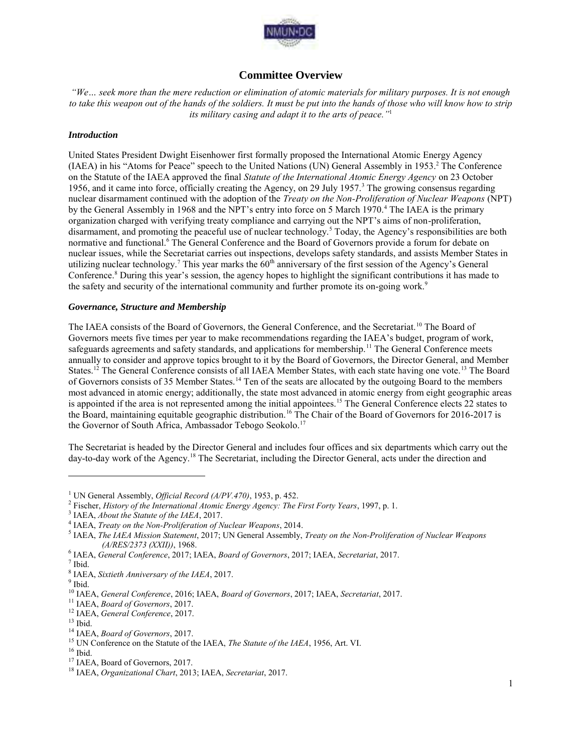

# **Committee Overview**

*"We… seek more than the mere reduction or elimination of atomic materials for military purposes. It is not enough to take this weapon out of the hands of the soldiers. It must be put into the hands of those who will know how to strip its military casing and adapt it to the arts of peace."*<sup>1</sup>

#### *Introduction*

United States President Dwight Eisenhower first formally proposed the International Atomic Energy Agency (IAEA) in his "Atoms for Peace" speech to the United Nations (UN) General Assembly in 1953.<sup>2</sup> The Conference on the Statute of the IAEA approved the final *Statute of the International Atomic Energy Agency* on 23 October 1956, and it came into force, officially creating the Agency, on 29 July 1957.<sup>3</sup> The growing consensus regarding nuclear disarmament continued with the adoption of the *Treaty on the Non-Proliferation of Nuclear Weapons* (NPT) by the General Assembly in 1968 and the NPT's entry into force on 5 March 1970.<sup>4</sup> The IAEA is the primary organization charged with verifying treaty compliance and carrying out the NPT's aims of non-proliferation, disarmament, and promoting the peaceful use of nuclear technology.<sup>5</sup> Today, the Agency's responsibilities are both normative and functional.<sup>6</sup> The General Conference and the Board of Governors provide a forum for debate on nuclear issues, while the Secretariat carries out inspections, develops safety standards, and assists Member States in utilizing nuclear technology.<sup>7</sup> This year marks the  $60<sup>th</sup>$  anniversary of the first session of the Agency's General Conference.<sup>8</sup> During this year's session, the agency hopes to highlight the significant contributions it has made to the safety and security of the international community and further promote its on-going work.<sup>9</sup>

#### *Governance, Structure and Membership*

The IAEA consists of the Board of Governors, the General Conference, and the Secretariat.<sup>10</sup> The Board of Governors meets five times per year to make recommendations regarding the IAEA's budget, program of work, safeguards agreements and safety standards, and applications for membership.<sup>11</sup> The General Conference meets annually to consider and approve topics brought to it by the Board of Governors, the Director General, and Member States.<sup>12</sup> The General Conference consists of all IAEA Member States, with each state having one vote.<sup>13</sup> The Board of Governors consists of 35 Member States.<sup>14</sup> Ten of the seats are allocated by the outgoing Board to the members most advanced in atomic energy; additionally, the state most advanced in atomic energy from eight geographic areas is appointed if the area is not represented among the initial appointees.<sup>15</sup> The General Conference elects 22 states to the Board, maintaining equitable geographic distribution.<sup>16</sup> The Chair of the Board of Governors for 2016-2017 is the Governor of South Africa, Ambassador Tebogo Seokolo.<sup>17</sup>

The Secretariat is headed by the Director General and includes four offices and six departments which carry out the day-to-day work of the Agency.<sup>18</sup> The Secretariat, including the Director General, acts under the direction and

<sup>&</sup>lt;sup>1</sup> UN General Assembly, *Official Record (A/PV.470)*, 1953, p. 452.

<sup>2</sup> Fischer, *History of the International Atomic Energy Agency: The First Forty Years*, 1997, p. 1.

<sup>3</sup> IAEA, *About the Statute of the IAEA*, 2017.

<sup>4</sup> IAEA, *Treaty on the Non-Proliferation of Nuclear Weapons*, 2014.

<sup>5</sup> IAEA, *The IAEA Mission Statement*, 2017; UN General Assembly, *Treaty on the Non-Proliferation of Nuclear Weapons (A/RES/2373 (XXII))*, 1968.

<sup>6</sup> IAEA, *General Conference*, 2017; IAEA, *Board of Governors*, 2017; IAEA, *Secretariat*, 2017.

 $<sup>7</sup>$  Ibid.</sup>

<sup>8</sup> IAEA, *Sixtieth Anniversary of the IAEA*, 2017.

<sup>&</sup>lt;sup>9</sup> Ibid.

<sup>10</sup> IAEA, *General Conference*, 2016; IAEA, *Board of Governors*, 2017; IAEA, *Secretariat*, 2017.

<sup>11</sup> IAEA, *Board of Governors*, 2017.

<sup>12</sup> IAEA, *General Conference*, 2017.

 $^{\rm 13}$  Ibid.

<sup>14</sup> IAEA, *Board of Governors*, 2017.

<sup>15</sup> UN Conference on the Statute of the IAEA, *The Statute of the IAEA*, 1956, Art. VI.

 $16$  Ibid.

<sup>&</sup>lt;sup>17</sup> IAEA, Board of Governors, 2017.

<sup>18</sup> IAEA, *Organizational Chart*, 2013; IAEA, *Secretariat*, 2017.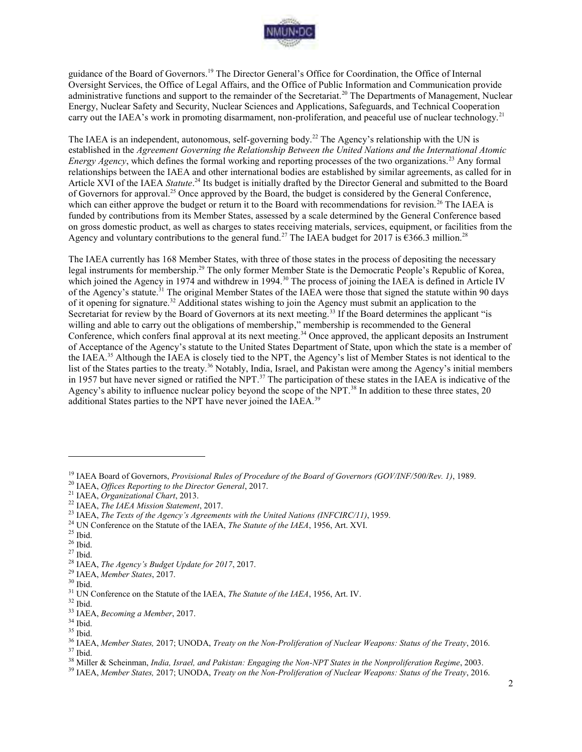

guidance of the Board of Governors.<sup>19</sup> The Director General's Office for Coordination, the Office of Internal Oversight Services, the Office of Legal Affairs, and the Office of Public Information and Communication provide administrative functions and support to the remainder of the Secretariat.<sup>20</sup> The Departments of Management, Nuclear Energy, Nuclear Safety and Security, Nuclear Sciences and Applications, Safeguards, and Technical Cooperation carry out the IAEA's work in promoting disarmament, non-proliferation, and peaceful use of nuclear technology.<sup>21</sup>

The IAEA is an independent, autonomous, self-governing body.<sup>22</sup> The Agency's relationship with the UN is established in the *Agreement Governing the Relationship Between the United Nations and the International Atomic Energy Agency*, which defines the formal working and reporting processes of the two organizations.<sup>23</sup> Any formal relationships between the IAEA and other international bodies are established by similar agreements, as called for in Article XVI of the IAEA *Statute*.<sup>24</sup> Its budget is initially drafted by the Director General and submitted to the Board of Governors for approval.<sup>25</sup> Once approved by the Board, the budget is considered by the General Conference, which can either approve the budget or return it to the Board with recommendations for revision.<sup>26</sup> The IAEA is funded by contributions from its Member States, assessed by a scale determined by the General Conference based on gross domestic product, as well as charges to states receiving materials, services, equipment, or facilities from the Agency and voluntary contributions to the general fund.<sup>27</sup> The IAEA budget for 2017 is  $\epsilon$ 366.3 million.<sup>28</sup>

The IAEA currently has 168 Member States, with three of those states in the process of depositing the necessary legal instruments for membership.<sup>29</sup> The only former Member State is the Democratic People's Republic of Korea, which joined the Agency in 1974 and withdrew in 1994.<sup>30</sup> The process of joining the IAEA is defined in Article IV of the Agency's statute.<sup>31</sup> The original Member States of the IAEA were those that signed the statute within 90 days of it opening for signature.<sup>32</sup> Additional states wishing to join the Agency must submit an application to the Secretariat for review by the Board of Governors at its next meeting.<sup>33</sup> If the Board determines the applicant "is willing and able to carry out the obligations of membership," membership is recommended to the General Conference, which confers final approval at its next meeting.<sup>34</sup> Once approved, the applicant deposits an Instrument of Acceptance of the Agency's statute to the United States Department of State, upon which the state is a member of the IAEA.<sup>35</sup> Although the IAEA is closely tied to the NPT, the Agency's list of Member States is not identical to the list of the States parties to the treaty.<sup>36</sup> Notably, India, Israel, and Pakistan were among the Agency's initial members in 1957 but have never signed or ratified the NPT.<sup>37</sup> The participation of these states in the IAEA is indicative of the Agency's ability to influence nuclear policy beyond the scope of the NPT.<sup>38</sup> In addition to these three states, 20 additional States parties to the NPT have never joined the IAEA.<sup>39</sup>

<sup>19</sup> IAEA Board of Governors, *Provisional Rules of Procedure of the Board of Governors (GOV/INF/500/Rev. 1)*, 1989.

<sup>20</sup> IAEA, *Offices Reporting to the Director General*, 2017.

<sup>21</sup> IAEA, *Organizational Chart*, 2013.

<sup>22</sup> IAEA, *The IAEA Mission Statement*, 2017.

<sup>23</sup> IAEA, *The Texts of the Agency's Agreements with the United Nations (INFCIRC/11)*, 1959.

<sup>24</sup> UN Conference on the Statute of the IAEA, *The Statute of the IAEA*, 1956, Art. XVI.

 $25$  Ibid.

 $^{\rm 26}$  Ibid.

<sup>27</sup> Ibid.

<sup>28</sup> IAEA, *The Agency's Budget Update for 2017*, 2017.

<sup>29</sup> IAEA, *Member States*, 2017.

 $^{\rm 30}$  Ibid.

<sup>31</sup> UN Conference on the Statute of the IAEA, *The Statute of the IAEA*, 1956, Art. IV.

 $32$  Ibid.

<sup>33</sup> IAEA, *Becoming a Member*, 2017.

 $^{\rm 34}$  Ibid.

<sup>35</sup> Ibid.

<sup>36</sup> IAEA, *Member States,* 2017; UNODA, *Treaty on the Non-Proliferation of Nuclear Weapons: Status of the Treaty*, 2016.  $37$  Ibid.

<sup>38</sup> Miller & Scheinman, *India, Israel, and Pakistan: Engaging the Non-NPT States in the Nonproliferation Regime*, 2003.

<sup>39</sup> IAEA, *Member States,* 2017; UNODA, *Treaty on the Non-Proliferation of Nuclear Weapons: Status of the Treaty*, 2016.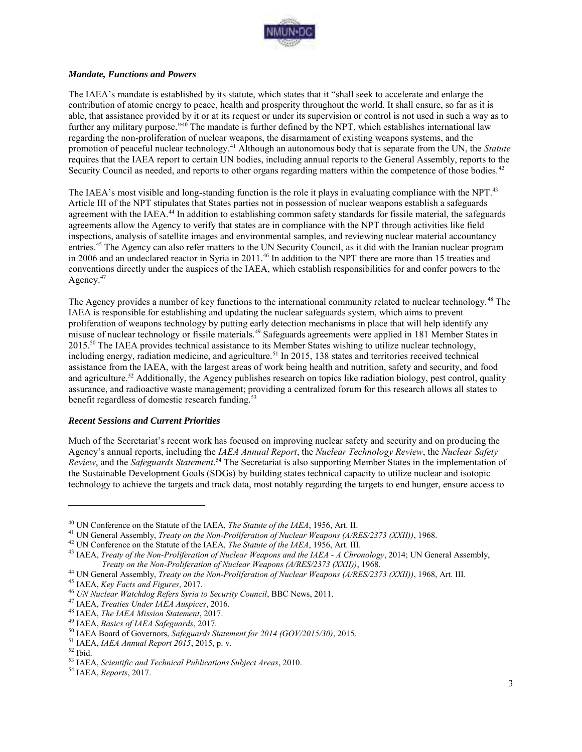

#### *Mandate, Functions and Powers*

The IAEA's mandate is established by its statute, which states that it "shall seek to accelerate and enlarge the contribution of atomic energy to peace, health and prosperity throughout the world. It shall ensure, so far as it is able, that assistance provided by it or at its request or under its supervision or control is not used in such a way as to further any military purpose."<sup>40</sup> The mandate is further defined by the NPT, which establishes international law regarding the non-proliferation of nuclear weapons, the disarmament of existing weapons systems, and the promotion of peaceful nuclear technology.<sup>41</sup> Although an autonomous body that is separate from the UN, the *Statute* requires that the IAEA report to certain UN bodies, including annual reports to the General Assembly, reports to the Security Council as needed, and reports to other organs regarding matters within the competence of those bodies.<sup>42</sup>

The IAEA's most visible and long-standing function is the role it plays in evaluating compliance with the NPT.<sup>43</sup> Article III of the NPT stipulates that States parties not in possession of nuclear weapons establish a safeguards agreement with the IAEA.<sup>44</sup> In addition to establishing common safety standards for fissile material, the safeguards agreements allow the Agency to verify that states are in compliance with the NPT through activities like field inspections, analysis of satellite images and environmental samples, and reviewing nuclear material accountancy entries.<sup>45</sup> The Agency can also refer matters to the UN Security Council, as it did with the Iranian nuclear program in 2006 and an undeclared reactor in Syria in 2011.<sup>46</sup> In addition to the NPT there are more than 15 treaties and conventions directly under the auspices of the IAEA, which establish responsibilities for and confer powers to the Agency.<sup>47</sup>

The Agency provides a number of key functions to the international community related to nuclear technology.<sup>48</sup> The IAEA is responsible for establishing and updating the nuclear safeguards system, which aims to prevent proliferation of weapons technology by putting early detection mechanisms in place that will help identify any misuse of nuclear technology or fissile materials.<sup>49</sup> Safeguards agreements were applied in 181 Member States in 2015.<sup>50</sup> The IAEA provides technical assistance to its Member States wishing to utilize nuclear technology, including energy, radiation medicine, and agriculture.<sup>51</sup> In 2015, 138 states and territories received technical assistance from the IAEA, with the largest areas of work being health and nutrition, safety and security, and food and agriculture.<sup>52</sup> Additionally, the Agency publishes research on topics like radiation biology, pest control, quality assurance, and radioactive waste management; providing a centralized forum for this research allows all states to benefit regardless of domestic research funding.<sup>53</sup>

#### *Recent Sessions and Current Priorities*

Much of the Secretariat's recent work has focused on improving nuclear safety and security and on producing the Agency's annual reports, including the *IAEA Annual Report*, the *Nuclear Technology Review*, the *Nuclear Safety Review*, and the *Safeguards Statement*. <sup>54</sup> The Secretariat is also supporting Member States in the implementation of the Sustainable Development Goals (SDGs) by building states technical capacity to utilize nuclear and isotopic technology to achieve the targets and track data, most notably regarding the targets to end hunger, ensure access to

<sup>40</sup> UN Conference on the Statute of the IAEA, *The Statute of the IAEA*, 1956, Art. II.

<sup>41</sup> UN General Assembly, *Treaty on the Non-Proliferation of Nuclear Weapons (A/RES/2373 (XXII))*, 1968.

<sup>42</sup> UN Conference on the Statute of the IAEA, *The Statute of the IAEA*, 1956, Art. III.

<sup>43</sup> IAEA, *Treaty of the Non-Proliferation of Nuclear Weapons and the IAEA - A Chronology*, 2014; UN General Assembly, *Treaty on the Non-Proliferation of Nuclear Weapons (A/RES/2373 (XXII))*, 1968.

<sup>44</sup> UN General Assembly, *Treaty on the Non-Proliferation of Nuclear Weapons (A/RES/2373 (XXII))*, 1968, Art. III.

<sup>45</sup> IAEA, *Key Facts and Figures*, 2017.

<sup>46</sup> *UN Nuclear Watchdog Refers Syria to Security Council*, BBC News, 2011.

<sup>47</sup> IAEA, *Treaties Under IAEA Auspices*, 2016.

<sup>48</sup> IAEA, *The IAEA Mission Statement*, 2017.

<sup>49</sup> IAEA, *Basics of IAEA Safeguards*, 2017.

<sup>50</sup> IAEA Board of Governors, *Safeguards Statement for 2014 (GOV/2015/30)*, 2015.

<sup>51</sup> IAEA, *IAEA Annual Report 2015*, 2015, p. v.

 $52$  Ibid.

<sup>53</sup> IAEA, *Scientific and Technical Publications Subject Areas*, 2010.

<sup>54</sup> IAEA, *Reports*, 2017.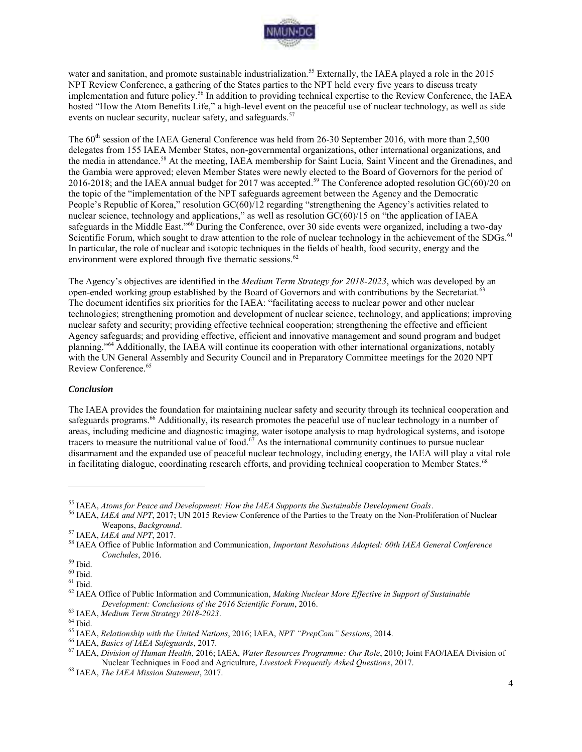

water and sanitation, and promote sustainable industrialization.<sup>55</sup> Externally, the IAEA played a role in the 2015 NPT Review Conference, a gathering of the States parties to the NPT held every five years to discuss treaty implementation and future policy.<sup>56</sup> In addition to providing technical expertise to the Review Conference, the IAEA hosted "How the Atom Benefits Life," a high-level event on the peaceful use of nuclear technology, as well as side events on nuclear security, nuclear safety, and safeguards.<sup>57</sup>

The 60<sup>th</sup> session of the IAEA General Conference was held from 26-30 September 2016, with more than 2,500 delegates from 155 IAEA Member States, non-governmental organizations, other international organizations, and the media in attendance.<sup>58</sup> At the meeting, IAEA membership for Saint Lucia, Saint Vincent and the Grenadines, and the Gambia were approved; eleven Member States were newly elected to the Board of Governors for the period of 2016-2018; and the IAEA annual budget for 2017 was accepted.<sup>59</sup> The Conference adopted resolution  $\overrightarrow{GC(60)}/20$  on the topic of the "implementation of the NPT safeguards agreement between the Agency and the Democratic People's Republic of Korea," resolution GC(60)/12 regarding "strengthening the Agency's activities related to nuclear science, technology and applications," as well as resolution GC(60)/15 on "the application of IAEA safeguards in the Middle East."<sup>60</sup> During the Conference, over 30 side events were organized, including a two-day Scientific Forum, which sought to draw attention to the role of nuclear technology in the achievement of the SDGs.<sup>61</sup> In particular, the role of nuclear and isotopic techniques in the fields of health, food security, energy and the environment were explored through five thematic sessions.<sup>62</sup>

The Agency's objectives are identified in the *Medium Term Strategy for 2018-2023*, which was developed by an open-ended working group established by the Board of Governors and with contributions by the Secretariat.<sup>63</sup> The document identifies six priorities for the IAEA: "facilitating access to nuclear power and other nuclear technologies; strengthening promotion and development of nuclear science, technology, and applications; improving nuclear safety and security; providing effective technical cooperation; strengthening the effective and efficient Agency safeguards; and providing effective, efficient and innovative management and sound program and budget planning."<sup>64</sup> Additionally, the IAEA will continue its cooperation with other international organizations, notably with the UN General Assembly and Security Council and in Preparatory Committee meetings for the 2020 NPT Review Conference.<sup>65</sup>

#### *Conclusion*

The IAEA provides the foundation for maintaining nuclear safety and security through its technical cooperation and safeguards programs.<sup>66</sup> Additionally, its research promotes the peaceful use of nuclear technology in a number of areas, including medicine and diagnostic imaging, water isotope analysis to map hydrological systems, and isotope tracers to measure the nutritional value of food.<sup>67</sup> As the international community continues to pursue nuclear disarmament and the expanded use of peaceful nuclear technology, including energy, the IAEA will play a vital role in facilitating dialogue, coordinating research efforts, and providing technical cooperation to Member States.<sup>68</sup>

<sup>55</sup> IAEA, *Atoms for Peace and Development: How the IAEA Supports the Sustainable Development Goals*.

<sup>&</sup>lt;sup>56</sup> IAEA, *IAEA and NPT*, 2017; UN 2015 Review Conference of the Parties to the Treaty on the Non-Proliferation of Nuclear Weapons, *Background*.

<sup>57</sup> IAEA, *IAEA and NPT*, 2017.

<sup>58</sup> IAEA Office of Public Information and Communication, *Important Resolutions Adopted: 60th IAEA General Conference Concludes*, 2016.

 $^{\rm 59}$  Ibid.

 $60$  Ibid.  $61$  Ibid.

<sup>62</sup> IAEA Office of Public Information and Communication, *Making Nuclear More Effective in Support of Sustainable Development: Conclusions of the 2016 Scientific Forum*, 2016.

<sup>63</sup> IAEA, *Medium Term Strategy 2018-2023*.

 $\,$   $^{64}$  Ibid.

<sup>65</sup> IAEA, *Relationship with the United Nations*, 2016; IAEA, *NPT "PrepCom" Sessions*, 2014.

<sup>66</sup> IAEA, *Basics of IAEA Safeguards*, 2017.

<sup>67</sup> IAEA, *Division of Human Health*, 2016; IAEA, *Water Resources Programme: Our Role*, 2010; Joint FAO/IAEA Division of Nuclear Techniques in Food and Agriculture, *Livestock Frequently Asked Questions*, 2017.

<sup>68</sup> IAEA, *The IAEA Mission Statement*, 2017.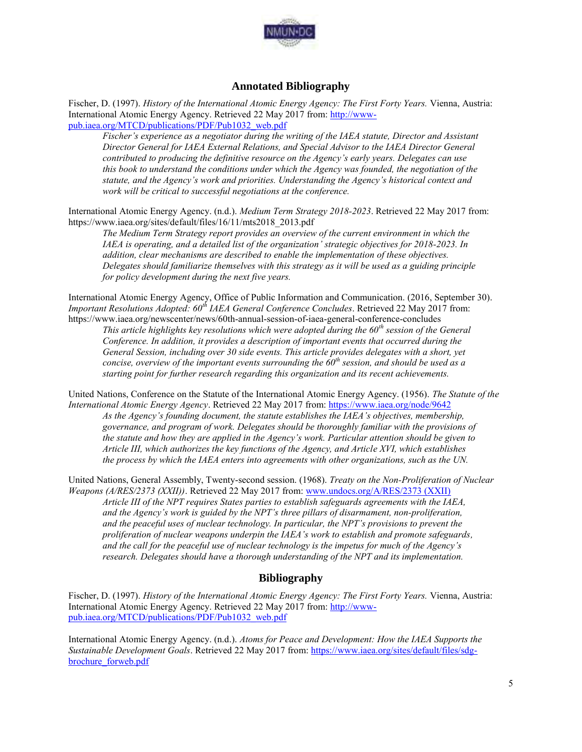

# **Annotated Bibliography**

Fischer, D. (1997). *History of the International Atomic Energy Agency: The First Forty Years.* Vienna, Austria: International Atomic Energy Agency. Retrieved 22 May 2017 from: [http://www](http://www-pub.iaea.org/MTCD/publications/PDF/Pub1032_web.pdf)[pub.iaea.org/MTCD/publications/PDF/Pub1032\\_web.pdf](http://www-pub.iaea.org/MTCD/publications/PDF/Pub1032_web.pdf) 

*Fischer's experience as a negotiator during the writing of the IAEA statute, Director and Assistant Director General for IAEA External Relations, and Special Advisor to the IAEA Director General contributed to producing the definitive resource on the Agency's early years. Delegates can use this book to understand the conditions under which the Agency was founded, the negotiation of the statute, and the Agency's work and priorities. Understanding the Agency's historical context and work will be critical to successful negotiations at the conference.* 

International Atomic Energy Agency. (n.d.). *Medium Term Strategy 2018-2023*. Retrieved 22 May 2017 from: https://www.iaea.org/sites/default/files/16/11/mts2018\_2013.pdf

*The Medium Term Strategy report provides an overview of the current environment in which the IAEA is operating, and a detailed list of the organization' strategic objectives for 2018-2023. In addition, clear mechanisms are described to enable the implementation of these objectives. Delegates should familiarize themselves with this strategy as it will be used as a guiding principle for policy development during the next five years.* 

International Atomic Energy Agency, Office of Public Information and Communication. (2016, September 30). *Important Resolutions Adopted: 60th IAEA General Conference Concludes*. Retrieved 22 May 2017 from: https://www.iaea.org/newscenter/news/60th-annual-session-of-iaea-general-conference-concludes

*This article highlights key resolutions which were adopted during the 60th session of the General Conference. In addition, it provides a description of important events that occurred during the General Session, including over 30 side events. This article provides delegates with a short, yet concise, overview of the important events surrounding the 60th session, and should be used as a starting point for further research regarding this organization and its recent achievements.* 

United Nations, Conference on the Statute of the International Atomic Energy Agency. (1956). *The Statute of the International Atomic Energy Agency*. Retrieved 22 May 2017 from:<https://www.iaea.org/node/9642>

*As the Agency's founding document, the statute establishes the IAEA's objectives, membership, governance, and program of work. Delegates should be thoroughly familiar with the provisions of the statute and how they are applied in the Agency's work. Particular attention should be given to Article III, which authorizes the key functions of the Agency, and Article XVI, which establishes the process by which the IAEA enters into agreements with other organizations, such as the UN.* 

United Nations, General Assembly, Twenty-second session. (1968). *Treaty on the Non-Proliferation of Nuclear Weapons (A/RES/2373 (XXII))*. Retrieved 22 May 2017 from[: www.undocs.org/A/RES/2373 \(XXII\)](http://www.undocs.org/A/RES/2373%20(XXII))  *Article III of the NPT requires States parties to establish safeguards agreements with the IAEA, and the Agency's work is guided by the NPT's three pillars of disarmament, non-proliferation, and the peaceful uses of nuclear technology. In particular, the NPT's provisions to prevent the proliferation of nuclear weapons underpin the IAEA's work to establish and promote safeguards, and the call for the peaceful use of nuclear technology is the impetus for much of the Agency's research. Delegates should have a thorough understanding of the NPT and its implementation.* 

## **Bibliography**

Fischer, D. (1997). *History of the International Atomic Energy Agency: The First Forty Years.* Vienna, Austria: International Atomic Energy Agency. Retrieved 22 May 2017 from: [http://www](http://www-pub.iaea.org/MTCD/publications/PDF/Pub1032_web.pdf)[pub.iaea.org/MTCD/publications/PDF/Pub1032\\_web.pdf](http://www-pub.iaea.org/MTCD/publications/PDF/Pub1032_web.pdf) 

International Atomic Energy Agency. (n.d.). *Atoms for Peace and Development: How the IAEA Supports the Sustainable Development Goals*. Retrieved 22 May 2017 from: [https://www.iaea.org/sites/default/files/sdg](https://www.iaea.org/sites/default/files/sdg-brochure_forweb.pdf)[brochure\\_forweb.pdf](https://www.iaea.org/sites/default/files/sdg-brochure_forweb.pdf)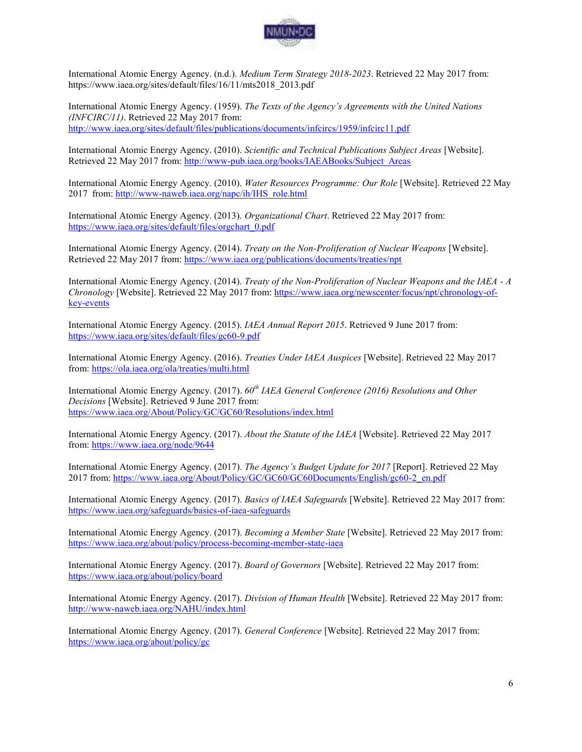

International Atomic Energy Agency. (n.d.). *Medium Term Strategy 2018-2023*. Retrieved 22 May 2017 from: https://www.iaea.org/sites/default/files/16/11/mts2018\_2013.pdf

International Atomic Energy Agency. (1959). *The Texts of the Agency's Agreements with the United Nations (INFCIRC/11)*. Retrieved 22 May 2017 from: http://www.iaea.org/sites/default/files/publications/documents/infcircs/1959/infcirc11.pdf

International Atomic Energy Agency. (2010). *Scientific and Technical Publications Subject Areas* [Website]. Retrieved 22 May 2017 from: [http://www-pub.iaea.org/books/IAEABooks/Subject\\_Areas](http://www-pub.iaea.org/books/IAEABooks/Subject_Areas) 

International Atomic Energy Agency. (2010). *Water Resources Programme: Our Role* [Website]. Retrieved 22 May 2017 from[: http://www-naweb.iaea.org/napc/ih/IHS\\_role.html](http://www-naweb.iaea.org/napc/ih/IHS_role.html) 

International Atomic Energy Agency. (2013). *Organizational Chart*. Retrieved 22 May 2017 from: [https://www.iaea.org/sites/default/files/orgchart\\_0.pdf](https://www.iaea.org/sites/default/files/orgchart_0.pdf) 

International Atomic Energy Agency. (2014). *Treaty on the Non-Proliferation of Nuclear Weapons* [Website]. Retrieved 22 May 2017 from:<https://www.iaea.org/publications/documents/treaties/npt>

International Atomic Energy Agency. (2014). *Treaty of the Non-Proliferation of Nuclear Weapons and the IAEA - A Chronology* [Website]. Retrieved 22 May 2017 from[: https://www.iaea.org/newscenter/focus/npt/chronology-of](https://www.iaea.org/newscenter/focus/npt/chronology-of-key-events)[key-events](https://www.iaea.org/newscenter/focus/npt/chronology-of-key-events) 

International Atomic Energy Agency. (2015). *IAEA Annual Report 2015*. Retrieved 9 June 2017 from: <https://www.iaea.org/sites/default/files/gc60-9.pdf>

International Atomic Energy Agency. (2016). *Treaties Under IAEA Auspices* [Website]. Retrieved 22 May 2017 from[: https://ola.iaea.org/ola/treaties/multi.html](https://ola.iaea.org/ola/treaties/multi.html) 

International Atomic Energy Agency. (2017). *60th IAEA General Conference (2016) Resolutions and Other Decisions* [Website]. Retrieved 9 June 2017 from: <https://www.iaea.org/About/Policy/GC/GC60/Resolutions/index.html>

International Atomic Energy Agency. (2017). *About the Statute of the IAEA* [Website]. Retrieved 22 May 2017 from[: https://www.iaea.org/node/9644](https://www.iaea.org/node/9644) 

International Atomic Energy Agency. (2017). *The Agency's Budget Update for 2017* [Report]. Retrieved 22 May 2017 from: [https://www.iaea.org/About/Policy/GC/GC60/GC60Documents/English/gc60-2\\_en.pdf](https://www.iaea.org/About/Policy/GC/GC60/GC60Documents/English/gc60-2_en.pdf) 

International Atomic Energy Agency. (2017). *Basics of IAEA Safeguards* [Website]. Retrieved 22 May 2017 from: <https://www.iaea.org/safeguards/basics-of-iaea-safeguards>

International Atomic Energy Agency. (2017). *Becoming a Member State* [Website]. Retrieved 22 May 2017 from: <https://www.iaea.org/about/policy/process-becoming-member-state-iaea>

International Atomic Energy Agency. (2017). *Board of Governors* [Website]. Retrieved 22 May 2017 from: <https://www.iaea.org/about/policy/board>

International Atomic Energy Agency. (2017). *Division of Human Health* [Website]. Retrieved 22 May 2017 from: <http://www-naweb.iaea.org/NAHU/index.html>

International Atomic Energy Agency. (2017). *General Conference* [Website]. Retrieved 22 May 2017 from: <https://www.iaea.org/about/policy/gc>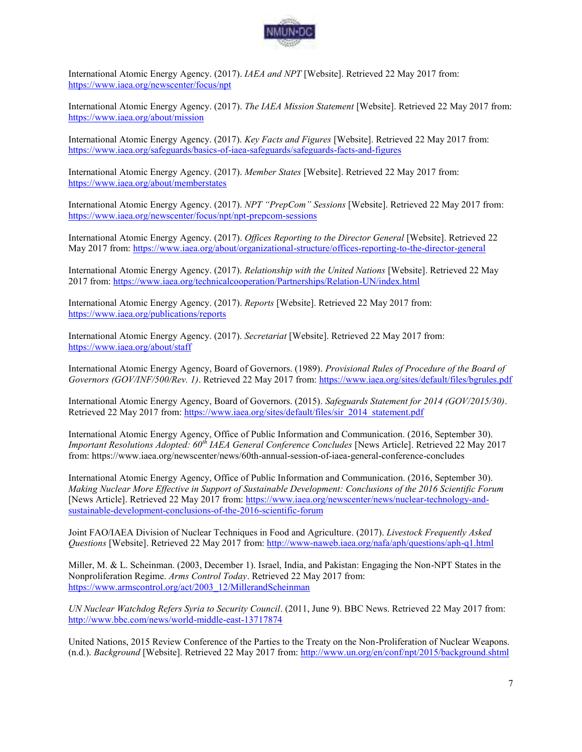

International Atomic Energy Agency. (2017). *IAEA and NPT* [Website]. Retrieved 22 May 2017 from: <https://www.iaea.org/newscenter/focus/npt>

International Atomic Energy Agency. (2017). *The IAEA Mission Statement* [Website]. Retrieved 22 May 2017 from: <https://www.iaea.org/about/mission>

International Atomic Energy Agency. (2017). *Key Facts and Figures* [Website]. Retrieved 22 May 2017 from: <https://www.iaea.org/safeguards/basics-of-iaea-safeguards/safeguards-facts-and-figures>

International Atomic Energy Agency. (2017). *Member States* [Website]. Retrieved 22 May 2017 from: <https://www.iaea.org/about/memberstates>

International Atomic Energy Agency. (2017). *NPT "PrepCom" Sessions* [Website]. Retrieved 22 May 2017 from: <https://www.iaea.org/newscenter/focus/npt/npt-prepcom-sessions>

International Atomic Energy Agency. (2017). *Offices Reporting to the Director General* [Website]. Retrieved 22 May 2017 from:<https://www.iaea.org/about/organizational-structure/offices-reporting-to-the-director-general>

International Atomic Energy Agency. (2017). *Relationship with the United Nations* [Website]. Retrieved 22 May 2017 from:<https://www.iaea.org/technicalcooperation/Partnerships/Relation-UN/index.html>

International Atomic Energy Agency. (2017). *Reports* [Website]. Retrieved 22 May 2017 from: <https://www.iaea.org/publications/reports>

International Atomic Energy Agency. (2017). *Secretariat* [Website]. Retrieved 22 May 2017 from: <https://www.iaea.org/about/staff>

International Atomic Energy Agency, Board of Governors. (1989). *Provisional Rules of Procedure of the Board of Governors (GOV/INF/500/Rev. 1)*. Retrieved 22 May 2017 from:<https://www.iaea.org/sites/default/files/bgrules.pdf>

International Atomic Energy Agency, Board of Governors. (2015). *Safeguards Statement for 2014 (GOV/2015/30)*. Retrieved 22 May 2017 from: https://www.iaea.org/sites/default/files/sir\_2014\_statement.pdf

International Atomic Energy Agency, Office of Public Information and Communication. (2016, September 30). *Important Resolutions Adopted: 60th IAEA General Conference Concludes* [News Article]. Retrieved 22 May 2017 from: https://www.iaea.org/newscenter/news/60th-annual-session-of-iaea-general-conference-concludes

International Atomic Energy Agency, Office of Public Information and Communication. (2016, September 30). *Making Nuclear More Effective in Support of Sustainable Development: Conclusions of the 2016 Scientific Forum*  [News Article]. Retrieved 22 May 2017 from: [https://www.iaea.org/newscenter/news/nuclear-technology-and](https://www.iaea.org/newscenter/news/nuclear-technology-and-sustainable-development-conclusions-of-the-2016-scientific-forum)[sustainable-development-conclusions-of-the-2016-scientific-forum](https://www.iaea.org/newscenter/news/nuclear-technology-and-sustainable-development-conclusions-of-the-2016-scientific-forum) 

Joint FAO/IAEA Division of Nuclear Techniques in Food and Agriculture. (2017). *Livestock Frequently Asked Questions* [Website]. Retrieved 22 May 2017 from:<http://www-naweb.iaea.org/nafa/aph/questions/aph-q1.html>

Miller, M. & L. Scheinman. (2003, December 1). Israel, India, and Pakistan: Engaging the Non-NPT States in the Nonproliferation Regime. *Arms Control Today*. Retrieved 22 May 2017 from: [https://www.armscontrol.org/act/2003\\_12/MillerandScheinman](https://www.armscontrol.org/act/2003_12/MillerandScheinman) 

*UN Nuclear Watchdog Refers Syria to Security Council*. (2011, June 9). BBC News. Retrieved 22 May 2017 from: <http://www.bbc.com/news/world-middle-east-13717874>

United Nations, 2015 Review Conference of the Parties to the Treaty on the Non-Proliferation of Nuclear Weapons. (n.d.). *Background* [Website]. Retrieved 22 May 2017 from:<http://www.un.org/en/conf/npt/2015/background.shtml>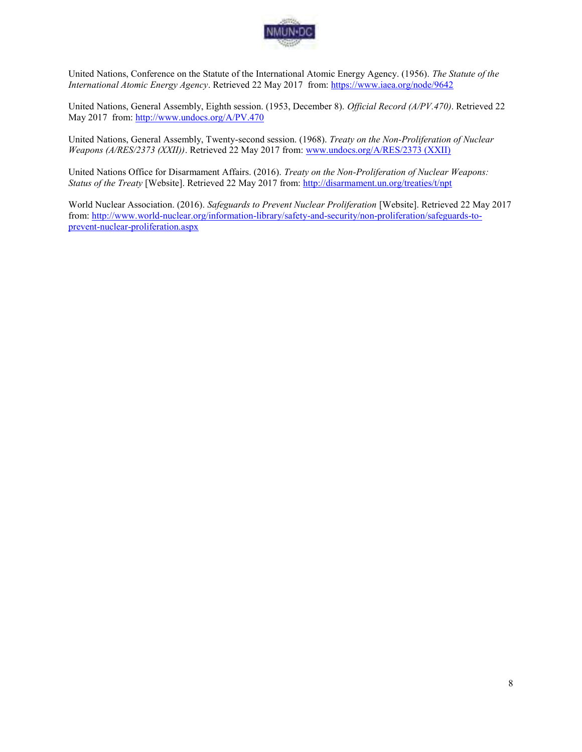

United Nations, Conference on the Statute of the International Atomic Energy Agency. (1956). *The Statute of the International Atomic Energy Agency*. Retrieved 22 May 2017 from:<https://www.iaea.org/node/9642>

United Nations, General Assembly, Eighth session. (1953, December 8). *Official Record (A/PV.470)*. Retrieved 22 May 2017 from: http://www.undocs.org/A/PV.470

United Nations, General Assembly, Twenty-second session. (1968). *Treaty on the Non-Proliferation of Nuclear Weapons (A/RES/2373 (XXII))*. Retrieved 22 May 2017 from[: www.undocs.org/A/RES/2373 \(XXII\)](http://www.undocs.org/A/RES/2373%20(XXII)) 

United Nations Office for Disarmament Affairs. (2016). *Treaty on the Non-Proliferation of Nuclear Weapons: Status of the Treaty* [Website]. Retrieved 22 May 2017 from:<http://disarmament.un.org/treaties/t/npt>

World Nuclear Association. (2016). *Safeguards to Prevent Nuclear Proliferation* [Website]. Retrieved 22 May 2017 from[: http://www.world-nuclear.org/information-library/safety-and-security/non-proliferation/safeguards-to](http://www.world-nuclear.org/information-library/safety-and-security/non-proliferation/safeguards-to-prevent-nuclear-proliferation.aspx)[prevent-nuclear-proliferation.aspx](http://www.world-nuclear.org/information-library/safety-and-security/non-proliferation/safeguards-to-prevent-nuclear-proliferation.aspx)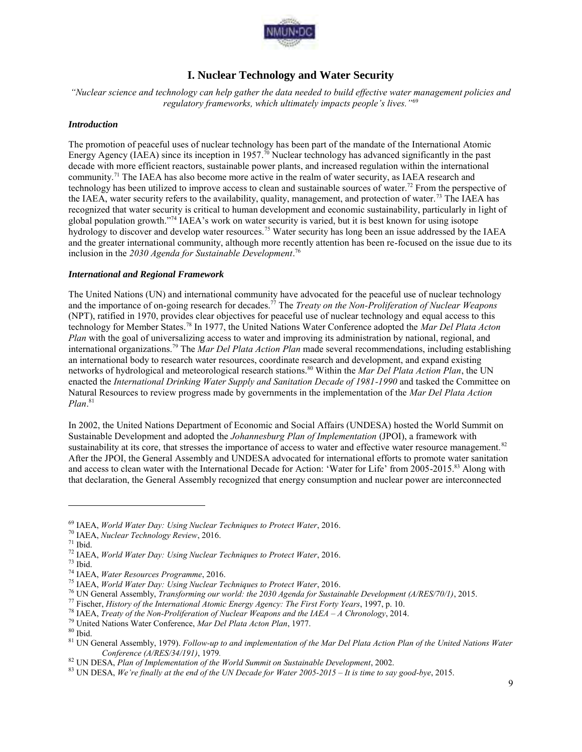

# **I. Nuclear Technology and Water Security**

*"Nuclear science and technology can help gather the data needed to build effective water management policies and regulatory frameworks, which ultimately impacts people's lives."*<sup>69</sup>

#### *Introduction*

The promotion of peaceful uses of nuclear technology has been part of the mandate of the International Atomic Energy Agency (IAEA) since its inception in 1957.<sup>70</sup> Nuclear technology has advanced significantly in the past decade with more efficient reactors, sustainable power plants, and increased regulation within the international community.<sup>71</sup> The IAEA has also become more active in the realm of water security, as IAEA research and technology has been utilized to improve access to clean and sustainable sources of water.<sup>72</sup> From the perspective of the IAEA, water security refers to the availability, quality, management, and protection of water.<sup>73</sup> The IAEA has recognized that water security is critical to human development and economic sustainability, particularly in light of global population growth."<sup>74</sup> IAEA's work on water security is varied, but it is best known for using isotope hydrology to discover and develop water resources.<sup>75</sup> Water security has long been an issue addressed by the IAEA and the greater international community, although more recently attention has been re-focused on the issue due to its inclusion in the *2030 Agenda for Sustainable Development*. 76

#### *International and Regional Framework*

The United Nations (UN) and international community have advocated for the peaceful use of nuclear technology and the importance of on-going research for decades.<sup>77</sup> The *Treaty on the Non-Proliferation of Nuclear Weapons* (NPT), ratified in 1970, provides clear objectives for peaceful use of nuclear technology and equal access to this technology for Member States.<sup>78</sup> In 1977, the United Nations Water Conference adopted the *Mar Del Plata Acton Plan* with the goal of universalizing access to water and improving its administration by national, regional, and international organizations.<sup>79</sup> The *Mar Del Plata Action Plan* made several recommendations, including establishing an international body to research water resources, coordinate research and development, and expand existing networks of hydrological and meteorological research stations.<sup>80</sup> Within the *Mar Del Plata Action Plan*, the UN enacted the *International Drinking Water Supply and Sanitation Decade of 1981-1990* and tasked the Committee on Natural Resources to review progress made by governments in the implementation of the *Mar Del Plata Action Plan*. 81

In 2002, the United Nations Department of Economic and Social Affairs (UNDESA) hosted the World Summit on Sustainable Development and adopted the *Johannesburg Plan of Implementation* (JPOI), a framework with sustainability at its core, that stresses the importance of access to water and effective water resource management.<sup>82</sup> After the JPOI, the General Assembly and UNDESA advocated for international efforts to promote water sanitation and access to clean water with the International Decade for Action: 'Water for Life' from 2005-2015.<sup>83</sup> Along with that declaration, the General Assembly recognized that energy consumption and nuclear power are interconnected

<sup>69</sup> IAEA, *World Water Day: Using Nuclear Techniques to Protect Water*, 2016.

<sup>70</sup> IAEA, *Nuclear Technology Review*, 2016.

 $71$  Ibid.

<sup>72</sup> IAEA, *World Water Day: Using Nuclear Techniques to Protect Water*, 2016.

<sup>73</sup> Ibid.

<sup>74</sup> IAEA, *Water Resources Programme*, 2016.

<sup>75</sup> IAEA, *World Water Day: Using Nuclear Techniques to Protect Water*, 2016.

<sup>76</sup> UN General Assembly, *Transforming our world: the 2030 Agenda for Sustainable Development (A/RES/70/1)*, 2015.

<sup>77</sup> Fischer, *History of the International Atomic Energy Agency: The First Forty Years*, 1997, p. 10.

<sup>78</sup> IAEA, *Treaty of the Non-Proliferation of Nuclear Weapons and the IAEA – A Chronology*, 2014.

<sup>79</sup> United Nations Water Conference, *Mar Del Plata Acton Plan*, 1977.

 $\rm^{80}$  Ibid.

<sup>81</sup> UN General Assembly, 1979). *Follow-up to and implementation of the Mar Del Plata Action Plan of the United Nations Water Conference (A/RES/34/191)*, 1979*.*

<sup>82</sup> UN DESA, *Plan of Implementation of the World Summit on Sustainable Development*, 2002.

<sup>83</sup> UN DESA, *We're finally at the end of the UN Decade for Water 2005-2015 – It is time to say good-bye*, 2015.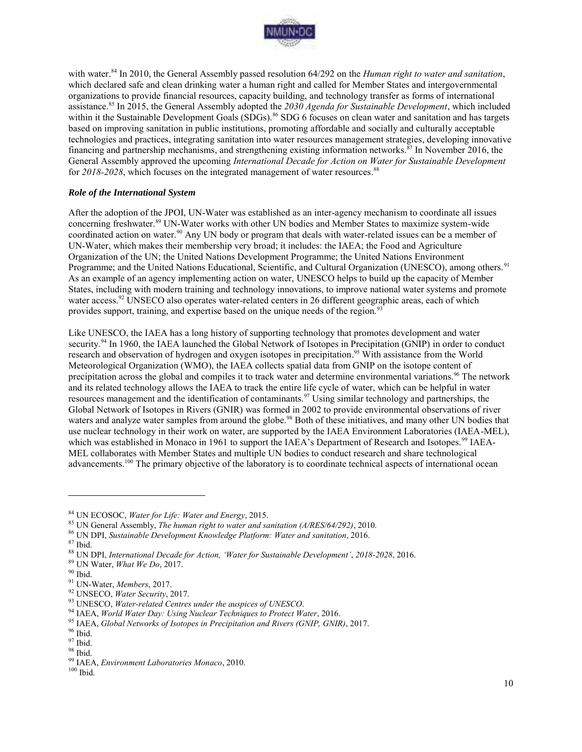

with water.<sup>84</sup> In 2010, the General Assembly passed resolution 64/292 on the *Human right to water and sanitation*, which declared safe and clean drinking water a human right and called for Member States and intergovernmental organizations to provide financial resources, capacity building, and technology transfer as forms of international assistance.<sup>85</sup> In 2015, the General Assembly adopted the *2030 Agenda for Sustainable Development*, which included within it the Sustainable Development Goals (SDGs).<sup>86</sup> SDG 6 focuses on clean water and sanitation and has targets based on improving sanitation in public institutions, promoting affordable and socially and culturally acceptable technologies and practices, integrating sanitation into water resources management strategies, developing innovative financing and partnership mechanisms, and strengthening existing information networks. $\frac{8}{37}$  In November 2016, the General Assembly approved the upcoming *International Decade for Action on Water for Sustainable Development* for 2018-2028, which focuses on the integrated management of water resources.<sup>88</sup>

#### *Role of the International System*

After the adoption of the JPOI, UN-Water was established as an inter-agency mechanism to coordinate all issues concerning freshwater.<sup>89</sup> UN-Water works with other UN bodies and Member States to maximize system-wide coordinated action on water.<sup>90</sup> Any UN body or program that deals with water-related issues can be a member of UN-Water, which makes their membership very broad; it includes: the IAEA; the Food and Agriculture Organization of the UN; the United Nations Development Programme; the United Nations Environment Programme; and the United Nations Educational, Scientific, and Cultural Organization (UNESCO), among others.<sup>91</sup> As an example of an agency implementing action on water, UNESCO helps to build up the capacity of Member States, including with modern training and technology innovations, to improve national water systems and promote water access.<sup>92</sup> UNSECO also operates water-related centers in 26 different geographic areas, each of which provides support, training, and expertise based on the unique needs of the region.<sup>93</sup>

Like UNESCO, the IAEA has a long history of supporting technology that promotes development and water security.<sup>94</sup> In 1960, the IAEA launched the Global Network of Isotopes in Precipitation (GNIP) in order to conduct research and observation of hydrogen and oxygen isotopes in precipitation.<sup>95</sup> With assistance from the World Meteorological Organization (WMO), the IAEA collects spatial data from GNIP on the isotope content of precipitation across the global and compiles it to track water and determine environmental variations.<sup>96</sup> The network and its related technology allows the IAEA to track the entire life cycle of water, which can be helpful in water resources management and the identification of contaminants.<sup>97</sup> Using similar technology and partnerships, the Global Network of Isotopes in Rivers (GNIR) was formed in 2002 to provide environmental observations of river waters and analyze water samples from around the globe.<sup>98</sup> Both of these initiatives, and many other UN bodies that use nuclear technology in their work on water, are supported by the IAEA Environment Laboratories (IAEA-MEL), which was established in Monaco in 1961 to support the IAEA's Department of Research and Isotopes.<sup>99</sup> IAEA-MEL collaborates with Member States and multiple UN bodies to conduct research and share technological advancements.<sup>100</sup> The primary objective of the laboratory is to coordinate technical aspects of international ocean

<sup>84</sup> UN ECOSOC, *Water for Life: Water and Energy*, 2015.

<sup>85</sup> UN General Assembly, *The human right to water and sanitation (A/RES/64/292)*, 2010*.*

<sup>86</sup> UN DPI, *Sustainable Development Knowledge Platform: Water and sanitation*, 2016.

<sup>87</sup> Ibid.

<sup>88</sup> UN DPI, *International Decade for Action, 'Water for Sustainable Development'*, *2018-2028*, 2016.

<sup>89</sup> UN Water, *What We Do*, 2017.

 $\rm^{90}$  Ibid.

<sup>91</sup> UN-Water, *Members*, 2017.

<sup>92</sup> UNSECO, *Water Security*, 2017.

<sup>93</sup> UNESCO, *Water-related Centres under the auspices of UNESCO*.

<sup>94</sup> IAEA, *World Water Day: Using Nuclear Techniques to Protect Water*, 2016.

<sup>95</sup> IAEA, *Global Networks of Isotopes in Precipitation and Rivers (GNIP, GNIR)*, 2017.

 $^{96}$  Ibid.

<sup>97</sup> Ibid.

<sup>98</sup> Ibid.

<sup>99</sup> IAEA, *Environment Laboratories Monaco*, 2010.

<sup>100</sup> Ibid.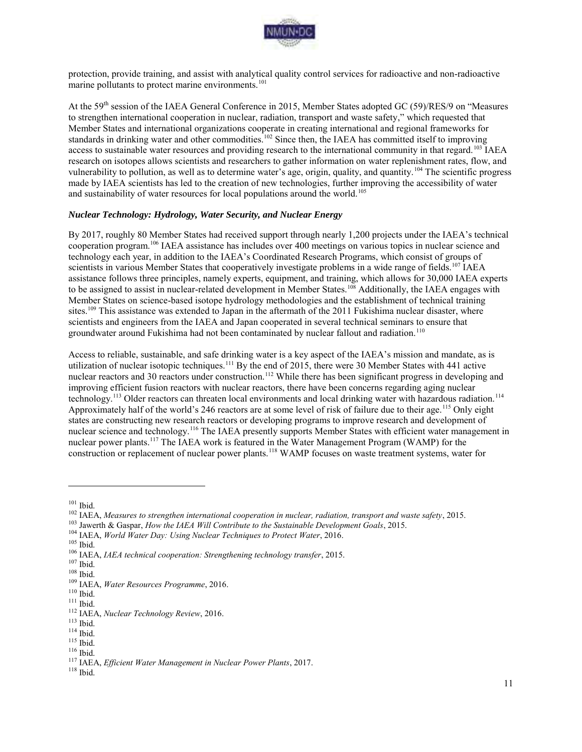

protection, provide training, and assist with analytical quality control services for radioactive and non-radioactive marine pollutants to protect marine environments.<sup>101</sup>

At the 59th session of the IAEA General Conference in 2015, Member States adopted GC (59)/RES/9 on "Measures to strengthen international cooperation in nuclear, radiation, transport and waste safety," which requested that Member States and international organizations cooperate in creating international and regional frameworks for standards in drinking water and other commodities.<sup>102</sup> Since then, the IAEA has committed itself to improving access to sustainable water resources and providing research to the international community in that regard.<sup>103</sup> IAEA research on isotopes allows scientists and researchers to gather information on water replenishment rates, flow, and vulnerability to pollution, as well as to determine water's age, origin, quality, and quantity.<sup>104</sup> The scientific progress made by IAEA scientists has led to the creation of new technologies, further improving the accessibility of water and sustainability of water resources for local populations around the world.<sup>105</sup>

#### *Nuclear Technology: Hydrology, Water Security, and Nuclear Energy*

By 2017, roughly 80 Member States had received support through nearly 1,200 projects under the IAEA's technical cooperation program.<sup>106</sup> IAEA assistance has includes over 400 meetings on various topics in nuclear science and technology each year, in addition to the IAEA's Coordinated Research Programs, which consist of groups of scientists in various Member States that cooperatively investigate problems in a wide range of fields.<sup>107</sup> IAEA assistance follows three principles, namely experts, equipment, and training, which allows for 30,000 IAEA experts to be assigned to assist in nuclear-related development in Member States.<sup>108</sup> Additionally, the IAEA engages with Member States on science-based isotope hydrology methodologies and the establishment of technical training sites.<sup>109</sup> This assistance was extended to Japan in the aftermath of the 2011 Fukishima nuclear disaster, where scientists and engineers from the IAEA and Japan cooperated in several technical seminars to ensure that groundwater around Fukishima had not been contaminated by nuclear fallout and radiation.<sup>110</sup>

Access to reliable, sustainable, and safe drinking water is a key aspect of the IAEA's mission and mandate, as is utilization of nuclear isotopic techniques.<sup>111</sup> By the end of 2015, there were 30 Member States with 441 active nuclear reactors and 30 reactors under construction.<sup>112</sup> While there has been significant progress in developing and improving efficient fusion reactors with nuclear reactors, there have been concerns regarding aging nuclear technology.<sup>113</sup> Older reactors can threaten local environments and local drinking water with hazardous radiation.<sup>114</sup> Approximately half of the world's 246 reactors are at some level of risk of failure due to their age.<sup>115</sup> Only eight states are constructing new research reactors or developing programs to improve research and development of nuclear science and technology.<sup>116</sup> The IAEA presently supports Member States with efficient water management in nuclear power plants.<sup>117</sup> The IAEA work is featured in the Water Management Program (WAMP) for the construction or replacement of nuclear power plants.<sup>118</sup> WAMP focuses on waste treatment systems, water for

 $101$  Ibid.

<sup>102</sup> IAEA, *Measures to strengthen international cooperation in nuclear, radiation, transport and waste safety*, 2015.

<sup>103</sup> Jawerth & Gaspar, *How the IAEA Will Contribute to the Sustainable Development Goals*, 2015.

<sup>104</sup> IAEA, *World Water Day: Using Nuclear Techniques to Protect Water*, 2016.

 $105$  Ibid.

<sup>106</sup> IAEA, *IAEA technical cooperation: Strengthening technology transfer*, 2015.

 $107$  Ibid.

 $^{108}$  Ibid.

<sup>109</sup> IAEA, *Water Resources Programme*, 2016.

 $110$  Ibid.

<sup>111</sup> Ibid.

<sup>112</sup> IAEA, *Nuclear Technology Review*, 2016.

 $\,$  113 Ibid.

 $114$  Ibid.

<sup>115</sup> Ibid.

<sup>116</sup> Ibid.

<sup>117</sup> IAEA, *Efficient Water Management in Nuclear Power Plants*, 2017.

 $^{118}$  Ibid.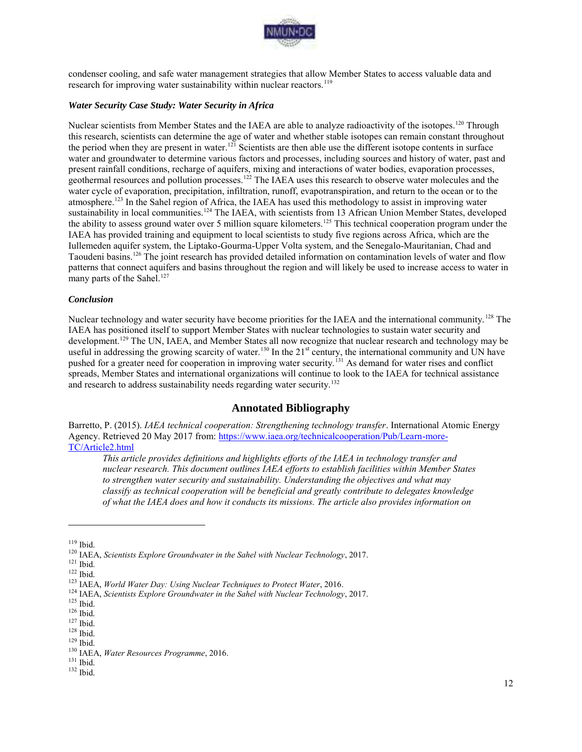

condenser cooling, and safe water management strategies that allow Member States to access valuable data and research for improving water sustainability within nuclear reactors.<sup>119</sup>

#### *Water Security Case Study: Water Security in Africa*

Nuclear scientists from Member States and the IAEA are able to analyze radioactivity of the isotopes.<sup>120</sup> Through this research, scientists can determine the age of water and whether stable isotopes can remain constant throughout the period when they are present in water.<sup>121</sup> Scientists are then able use the different isotope contents in surface water and groundwater to determine various factors and processes, including sources and history of water, past and present rainfall conditions, recharge of aquifers, mixing and interactions of water bodies, evaporation processes, geothermal resources and pollution processes.<sup>122</sup> The IAEA uses this research to observe water molecules and the water cycle of evaporation, precipitation, infiltration, runoff, evapotranspiration, and return to the ocean or to the atmosphere.<sup>123</sup> In the Sahel region of Africa, the IAEA has used this methodology to assist in improving water sustainability in local communities.<sup>124</sup> The IAEA, with scientists from 13 African Union Member States, developed the ability to assess ground water over 5 million square kilometers.<sup>125</sup> This technical cooperation program under the IAEA has provided training and equipment to local scientists to study five regions across Africa, which are the Iullemeden aquifer system, the Liptako-Gourma-Upper Volta system, and the Senegalo-Mauritanian, Chad and Taoudeni basins.<sup>126</sup> The joint research has provided detailed information on contamination levels of water and flow patterns that connect aquifers and basins throughout the region and will likely be used to increase access to water in many parts of the Sahel.<sup>127</sup>

#### *Conclusion*

Nuclear technology and water security have become priorities for the IAEA and the international community.<sup>128</sup> The IAEA has positioned itself to support Member States with nuclear technologies to sustain water security and development.<sup>129</sup> The UN, IAEA, and Member States all now recognize that nuclear research and technology may be useful in addressing the growing scarcity of water.<sup>130</sup> In the 21<sup>st</sup> century, the international community and UN have pushed for a greater need for cooperation in improving water security.<sup>131</sup> As demand for water rises and conflict spreads, Member States and international organizations will continue to look to the IAEA for technical assistance and research to address sustainability needs regarding water security.<sup>132</sup>

## **Annotated Bibliography**

Barretto, P. (2015). *IAEA technical cooperation: Strengthening technology transfer*. International Atomic Energy Agency. Retrieved 20 May 2017 from: [https://www.iaea.org/technicalcooperation/Pub/Learn-more-](https://www.iaea.org/technicalcooperation/Pub/Learn-more-TC/Article2.html)[TC/Article2.html](https://www.iaea.org/technicalcooperation/Pub/Learn-more-TC/Article2.html) 

*This article provides definitions and highlights efforts of the IAEA in technology transfer and nuclear research. This document outlines IAEA efforts to establish facilities within Member States to strengthen water security and sustainability. Understanding the objectives and what may classify as technical cooperation will be beneficial and greatly contribute to delegates knowledge of what the IAEA does and how it conducts its missions. The article also provides information on* 

<sup>119</sup> Ibid.

<sup>120</sup> IAEA, *Scientists Explore Groundwater in the Sahel with Nuclear Technology*, 2017.

 $121$  Ibid.

 $122$  Ibid.

<sup>123</sup> IAEA, *World Water Day: Using Nuclear Techniques to Protect Water*, 2016.

<sup>124</sup> IAEA, *Scientists Explore Groundwater in the Sahel with Nuclear Technology*, 2017.

 $^{125}$  Ibid.

 $^{126}$  Ibid.

<sup>127</sup> Ibid.

 $^{128}$  Ibid.  $129$  Ibid.

<sup>130</sup> IAEA, *Water Resources Programme*, 2016.

<sup>131</sup> Ibid.

<sup>132</sup> Ibid.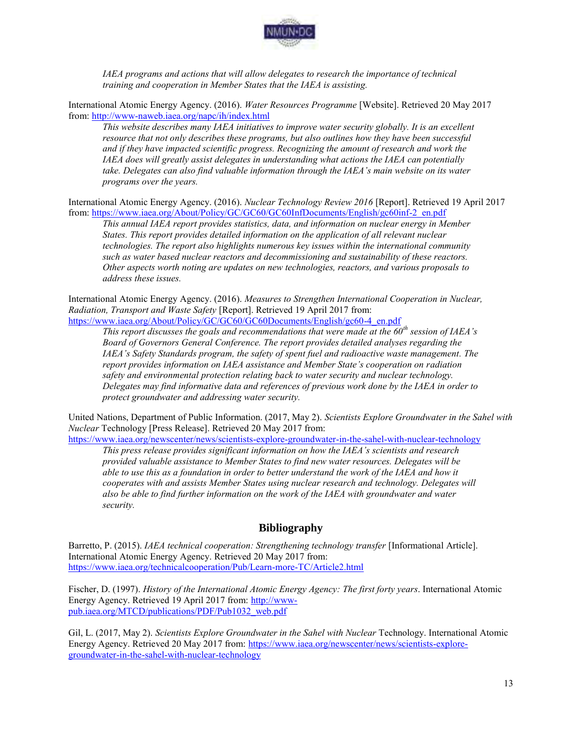

*IAEA programs and actions that will allow delegates to research the importance of technical training and cooperation in Member States that the IAEA is assisting.* 

International Atomic Energy Agency. (2016). *Water Resources Programme* [Website]. Retrieved 20 May 2017 from[: http://www-naweb.iaea.org/napc/ih/index.html](http://www-naweb.iaea.org/napc/ih/index.html) 

*This website describes many IAEA initiatives to improve water security globally. It is an excellent resource that not only describes these programs, but also outlines how they have been successful and if they have impacted scientific progress. Recognizing the amount of research and work the IAEA does will greatly assist delegates in understanding what actions the IAEA can potentially take. Delegates can also find valuable information through the IAEA's main website on its water programs over the years.* 

International Atomic Energy Agency. (2016). *Nuclear Technology Review 2016* [Report]. Retrieved 19 April 2017 from[: https://www.iaea.org/About/Policy/GC/GC60/GC60InfDocuments/English/gc60inf-2\\_en.pdf](https://www.iaea.org/About/Policy/GC/GC60/GC60InfDocuments/English/gc60inf-2_en.pdf) 

*This annual IAEA report provides statistics, data, and information on nuclear energy in Member States. This report provides detailed information on the application of all relevant nuclear technologies. The report also highlights numerous key issues within the international community such as water based nuclear reactors and decommissioning and sustainability of these reactors. Other aspects worth noting are updates on new technologies, reactors, and various proposals to address these issues.* 

International Atomic Energy Agency. (2016). *Measures to Strengthen International Cooperation in Nuclear, Radiation, Transport and Waste Safety* [Report]. Retrieved 19 April 2017 from: https://www.iaea.org/About/Policy/GC/GC60/GC60Documents/English/gc60-4\_en.pdf

*This report discusses the goals and recommendations that were made at the 60th session of IAEA's Board of Governors General Conference. The report provides detailed analyses regarding the IAEA's Safety Standards program, the safety of spent fuel and radioactive waste management. The report provides information on IAEA assistance and Member State's cooperation on radiation safety and environmental protection relating back to water security and nuclear technology. Delegates may find informative data and references of previous work done by the IAEA in order to protect groundwater and addressing water security.* 

United Nations, Department of Public Information. (2017, May 2). *Scientists Explore Groundwater in the Sahel with Nuclear* Technology [Press Release]. Retrieved 20 May 2017 from:

<https://www.iaea.org/newscenter/news/scientists-explore-groundwater-in-the-sahel-with-nuclear-technology>

*This press release provides significant information on how the IAEA's scientists and research provided valuable assistance to Member States to find new water resources. Delegates will be able to use this as a foundation in order to better understand the work of the IAEA and how it cooperates with and assists Member States using nuclear research and technology. Delegates will also be able to find further information on the work of the IAEA with groundwater and water security.* 

# **Bibliography**

Barretto, P. (2015). *IAEA technical cooperation: Strengthening technology transfer* [Informational Article]. International Atomic Energy Agency. Retrieved 20 May 2017 from: <https://www.iaea.org/technicalcooperation/Pub/Learn-more-TC/Article2.html>

Fischer, D. (1997). *History of the International Atomic Energy Agency: The first forty years*. International Atomic Energy Agency. Retrieved 19 April 2017 from: [http://www](http://www-pub.iaea.org/MTCD/publications/PDF/Pub1032_web.pdf)[pub.iaea.org/MTCD/publications/PDF/Pub1032\\_web.pdf](http://www-pub.iaea.org/MTCD/publications/PDF/Pub1032_web.pdf) 

Gil, L. (2017, May 2). *Scientists Explore Groundwater in the Sahel with Nuclear* Technology. International Atomic Energy Agency. Retrieved 20 May 2017 from: [https://www.iaea.org/newscenter/news/scientists-explore](https://www.iaea.org/newscenter/news/scientists-explore-groundwater-in-the-sahel-with-nuclear-technology)[groundwater-in-the-sahel-with-nuclear-technology](https://www.iaea.org/newscenter/news/scientists-explore-groundwater-in-the-sahel-with-nuclear-technology)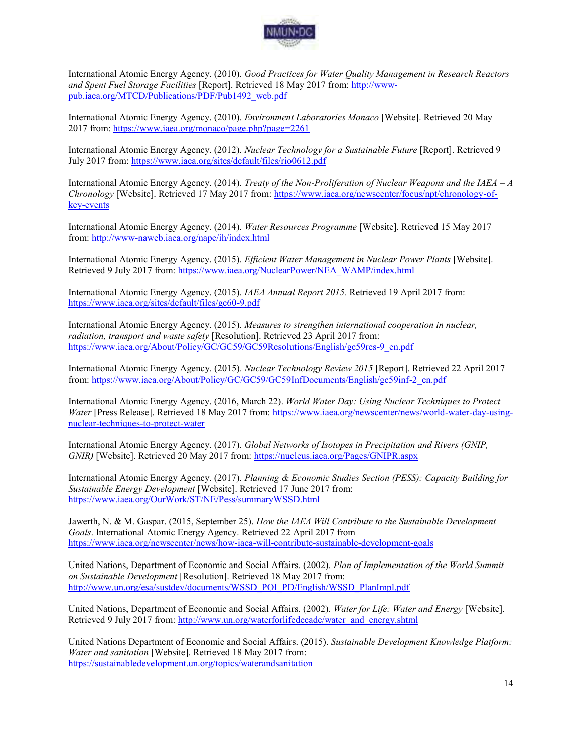

International Atomic Energy Agency. (2010). *Good Practices for Water Quality Management in Research Reactors and Spent Fuel Storage Facilities* [Report]. Retrieved 18 May 2017 from[: http://www](http://www-pub.iaea.org/MTCD/Publications/PDF/Pub1492_web.pdf)[pub.iaea.org/MTCD/Publications/PDF/Pub1492\\_web.pdf](http://www-pub.iaea.org/MTCD/Publications/PDF/Pub1492_web.pdf) 

International Atomic Energy Agency. (2010). *Environment Laboratories Monaco* [Website]. Retrieved 20 May 2017 from:<https://www.iaea.org/monaco/page.php?page=2261>

International Atomic Energy Agency. (2012). *Nuclear Technology for a Sustainable Future* [Report]. Retrieved 9 July 2017 from:<https://www.iaea.org/sites/default/files/rio0612.pdf>

International Atomic Energy Agency. (2014). *Treaty of the Non-Proliferation of Nuclear Weapons and the IAEA – A Chronology* [Website]. Retrieved 17 May 2017 from: [https://www.iaea.org/newscenter/focus/npt/chronology-of](https://www.iaea.org/newscenter/focus/npt/chronology-of-key-events)[key-events](https://www.iaea.org/newscenter/focus/npt/chronology-of-key-events) 

International Atomic Energy Agency. (2014). *Water Resources Programme* [Website]. Retrieved 15 May 2017 from[: http://www-naweb.iaea.org/napc/ih/index.html](http://www-naweb.iaea.org/napc/ih/index.html) 

International Atomic Energy Agency. (2015). *Efficient Water Management in Nuclear Power Plants* [Website]. Retrieved 9 July 2017 from: [https://www.iaea.org/NuclearPower/NEA\\_WAMP/index.html](https://www.iaea.org/NuclearPower/NEA_WAMP/index.html) 

International Atomic Energy Agency. (2015). *IAEA Annual Report 2015.* Retrieved 19 April 2017 from: <https://www.iaea.org/sites/default/files/gc60-9.pdf>

International Atomic Energy Agency. (2015). *Measures to strengthen international cooperation in nuclear, radiation, transport and waste safety* [Resolution]. Retrieved 23 April 2017 from: [https://www.iaea.org/About/Policy/GC/GC59/GC59Resolutions/English/gc59res-9\\_en.pdf](https://www.iaea.org/About/Policy/GC/GC59/GC59Resolutions/English/gc59res-9_en.pdf) 

International Atomic Energy Agency. (2015). *Nuclear Technology Review 2015* [Report]. Retrieved 22 April 2017 from[: https://www.iaea.org/About/Policy/GC/GC59/GC59InfDocuments/English/gc59inf-2\\_en.pdf](https://www.iaea.org/About/Policy/GC/GC59/GC59InfDocuments/English/gc59inf-2_en.pdf) 

International Atomic Energy Agency. (2016, March 22). *World Water Day: Using Nuclear Techniques to Protect Water* [Press Release]. Retrieved 18 May 2017 from: [https://www.iaea.org/newscenter/news/world-water-day-using](https://www.iaea.org/newscenter/news/world-water-day-using-nuclear-techniques-to-protect-water)[nuclear-techniques-to-protect-water](https://www.iaea.org/newscenter/news/world-water-day-using-nuclear-techniques-to-protect-water)

International Atomic Energy Agency. (2017). *Global Networks of Isotopes in Precipitation and Rivers (GNIP, GNIR)* [Website]. Retrieved 20 May 2017 from:<https://nucleus.iaea.org/Pages/GNIPR.aspx>

International Atomic Energy Agency. (2017). *Planning & Economic Studies Section (PESS): Capacity Building for Sustainable Energy Development* [Website]. Retrieved 17 June 2017 from: <https://www.iaea.org/OurWork/ST/NE/Pess/summaryWSSD.html>

Jawerth, N. & M. Gaspar. (2015, September 25). *How the IAEA Will Contribute to the Sustainable Development Goals*. International Atomic Energy Agency. Retrieved 22 April 2017 from <https://www.iaea.org/newscenter/news/how-iaea-will-contribute-sustainable-development-goals>

United Nations, Department of Economic and Social Affairs. (2002). *Plan of Implementation of the World Summit on Sustainable Development* [Resolution]. Retrieved 18 May 2017 from: [http://www.un.org/esa/sustdev/documents/WSSD\\_POI\\_PD/English/WSSD\\_PlanImpl.pdf](http://www.un.org/esa/sustdev/documents/WSSD_POI_PD/English/WSSD_PlanImpl.pdf) 

United Nations, Department of Economic and Social Affairs. (2002). *Water for Life: Water and Energy* [Website]. Retrieved 9 July 2017 from: [http://www.un.org/waterforlifedecade/water\\_and\\_energy.shtml](http://www.un.org/waterforlifedecade/water_and_energy.shtml) 

United Nations Department of Economic and Social Affairs. (2015). *Sustainable Development Knowledge Platform: Water and sanitation* [Website]. Retrieved 18 May 2017 from: <https://sustainabledevelopment.un.org/topics/waterandsanitation>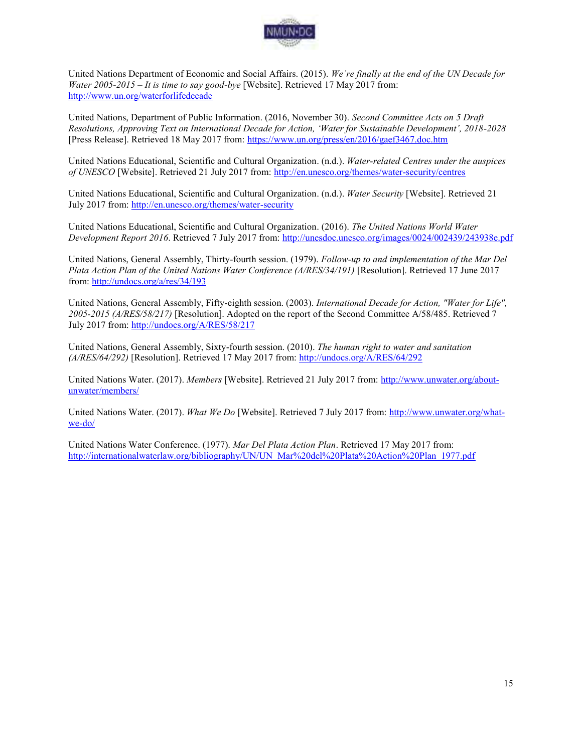

United Nations Department of Economic and Social Affairs. (2015). *We're finally at the end of the UN Decade for Water 2005-2015 – It is time to say good-bye* [Website]. Retrieved 17 May 2017 from: <http://www.un.org/waterforlifedecade>

United Nations, Department of Public Information. (2016, November 30). *Second Committee Acts on 5 Draft Resolutions, Approving Text on International Decade for Action, 'Water for Sustainable Development', 2018-2028*  [Press Release]. Retrieved 18 May 2017 from:<https://www.un.org/press/en/2016/gaef3467.doc.htm>

United Nations Educational, Scientific and Cultural Organization. (n.d.). *Water-related Centres under the auspices of UNESCO* [Website]. Retrieved 21 July 2017 from:<http://en.unesco.org/themes/water-security/centres>

United Nations Educational, Scientific and Cultural Organization. (n.d.). *Water Security* [Website]. Retrieved 21 July 2017 from:<http://en.unesco.org/themes/water-security>

United Nations Educational, Scientific and Cultural Organization. (2016). *The United Nations World Water Development Report 2016*. Retrieved 7 July 2017 from:<http://unesdoc.unesco.org/images/0024/002439/243938e.pdf>

United Nations, General Assembly, Thirty-fourth session. (1979). *Follow-up to and implementation of the Mar Del Plata Action Plan of the United Nations Water Conference (A/RES/34/191)* [Resolution]. Retrieved 17 June 2017 from[: http://undocs.org/a/res/34/193](http://undocs.org/a/res/34/193) 

United Nations, General Assembly, Fifty-eighth session. (2003). *International Decade for Action, "Water for Life", 2005-2015 (A/RES/58/217)* [Resolution]. Adopted on the report of the Second Committee A/58/485. Retrieved 7 July 2017 from:<http://undocs.org/A/RES/58/217>

United Nations, General Assembly, Sixty-fourth session. (2010). *The human right to water and sanitation (A/RES/64/292)* [Resolution]. Retrieved 17 May 2017 from[: http://undocs.org/A/RES/64/292](http://undocs.org/A/RES/64/292)

United Nations Water. (2017). *Members* [Website]. Retrieved 21 July 2017 from: [http://www.unwater.org/about](http://www.unwater.org/about-unwater/members/)[unwater/members/](http://www.unwater.org/about-unwater/members/)

United Nations Water. (2017). *What We Do* [Website]. Retrieved 7 July 2017 from: [http://www.unwater.org/what](http://www.unwater.org/what-we-do/)[we-do/](http://www.unwater.org/what-we-do/) 

United Nations Water Conference. (1977). *Mar Del Plata Action Plan*. Retrieved 17 May 2017 from: [http://internationalwaterlaw.org/bibliography/UN/UN\\_Mar%20del%20Plata%20Action%20Plan\\_1977.pdf](http://internationalwaterlaw.org/bibliography/UN/UN_Mar%20del%20Plata%20Action%20Plan_1977.pdf)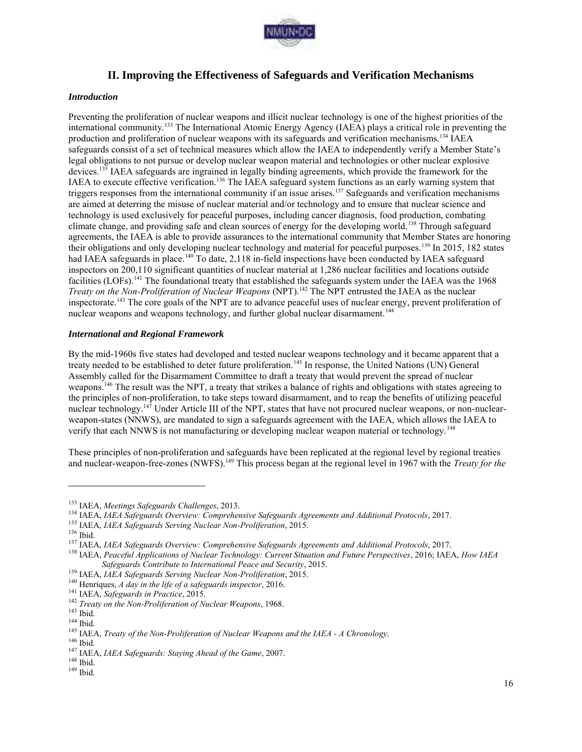

# **II. Improving the Effectiveness of Safeguards and Verification Mechanisms**

#### *Introduction*

Preventing the proliferation of nuclear weapons and illicit nuclear technology is one of the highest priorities of the international community.<sup>133</sup> The International Atomic Energy Agency (IAEA) plays a critical role in preventing the production and proliferation of nuclear weapons with its safeguards and verification mechanisms.<sup>134</sup> IAEA safeguards consist of a set of technical measures which allow the IAEA to independently verify a Member State's legal obligations to not pursue or develop nuclear weapon material and technologies or other nuclear explosive devices.<sup>135</sup> IAEA safeguards are ingrained in legally binding agreements, which provide the framework for the IAEA to execute effective verification.<sup>136</sup> The IAEA safeguard system functions as an early warning system that triggers responses from the international community if an issue arises.<sup>137</sup> Safeguards and verification mechanisms are aimed at deterring the misuse of nuclear material and/or technology and to ensure that nuclear science and technology is used exclusively for peaceful purposes, including cancer diagnosis, food production, combating climate change, and providing safe and clean sources of energy for the developing world.<sup>138</sup> Through safeguard agreements, the IAEA is able to provide assurances to the international community that Member States are honoring their obligations and only developing nuclear technology and material for peaceful purposes.<sup>139</sup> In 2015, 182 states had IAEA safeguards in place.<sup>140</sup> To date, 2,118 in-field inspections have been conducted by IAEA safeguard inspectors on 200,110 significant quantities of nuclear material at 1,286 nuclear facilities and locations outside facilities (LOFs).<sup>141</sup> The foundational treaty that established the safeguards system under the IAEA was the 1968 *Treaty on the Non-Proliferation of Nuclear Weapons* (NPT).<sup>142</sup> The NPT entrusted the IAEA as the nuclear inspectorate.<sup>143</sup> The core goals of the NPT are to advance peaceful uses of nuclear energy, prevent proliferation of nuclear weapons and weapons technology, and further global nuclear disarmament.<sup>144</sup>

#### *International and Regional Framework*

By the mid-1960s five states had developed and tested nuclear weapons technology and it became apparent that a treaty needed to be established to deter future proliferation.<sup>145</sup> In response, the United Nations (UN) General Assembly called for the Disarmament Committee to draft a treaty that would prevent the spread of nuclear weapons.<sup>146</sup> The result was the NPT, a treaty that strikes a balance of rights and obligations with states agreeing to the principles of non-proliferation, to take steps toward disarmament, and to reap the benefits of utilizing peaceful nuclear technology.<sup>147</sup> Under Article III of the NPT, states that have not procured nuclear weapons, or non-nuclearweapon-states (NNWS), are mandated to sign a safeguards agreement with the IAEA, which allows the IAEA to verify that each NNWS is not manufacturing or developing nuclear weapon material or technology.<sup>148</sup>

These principles of non-proliferation and safeguards have been replicated at the regional level by regional treaties and nuclear-weapon-free-zones (NWFS).<sup>149</sup> This process began at the regional level in 1967 with the *Treaty for the* 

<sup>133</sup> IAEA, *Meetings Safeguards Challenges*, 2013.

<sup>134</sup> IAEA, *IAEA Safeguards Overview: Comprehensive Safeguards Agreements and Additional Protocols*, 2017.

<sup>135</sup> IAEA, *IAEA Safeguards Serving Nuclear Non-Proliferation*, 2015.

<sup>136</sup> Ibid.

<sup>137</sup> IAEA, *IAEA Safeguards Overview: Comprehensive Safeguards Agreements and Additional Protocols*, 2017.

<sup>138</sup> IAEA, *Peaceful Applications of Nuclear Technology: Current Situation and Future Perspectives*, 2016; IAEA, *How IAEA Safeguards Contribute to International Peace and Security*, 2015.

<sup>139</sup> IAEA, *IAEA Safeguards Serving Nuclear Non-Proliferation*, 2015.

<sup>140</sup> Henriques, *A day in the life of a safeguards inspector*, 2016.

<sup>141</sup> IAEA, *Safeguards in Practice*, 2015.

<sup>142</sup> *Treaty on the Non-Proliferation of Nuclear Weapons*, 1968.

 $^{143}$  Ibid.

 $^{144}$  Ibid.

<sup>145</sup> IAEA, *Treaty of the Non-Proliferation of Nuclear Weapons and the IAEA - A Chronology*.

<sup>146</sup> Ibid.

<sup>147</sup> IAEA, *IAEA Safeguards: Staying Ahead of the Game*, 2007.

 $148$  Ibid.

 $149$  Ibid.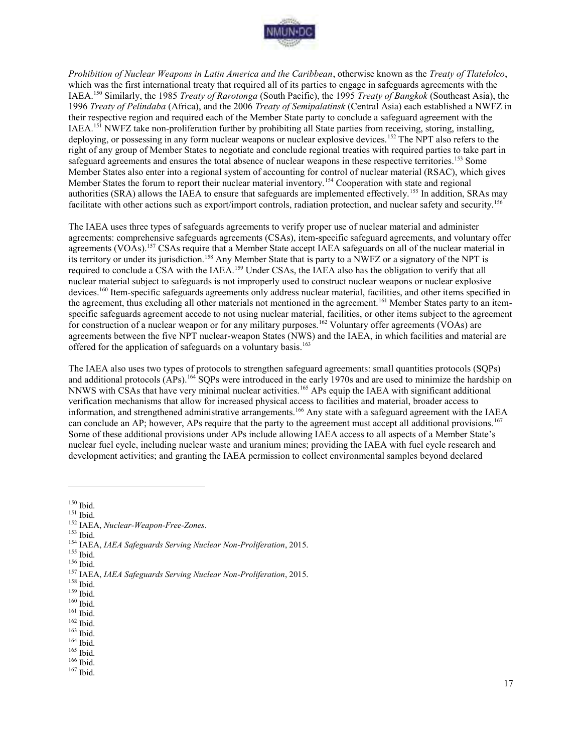

*Prohibition of Nuclear Weapons in Latin America and the Caribbean*, otherwise known as the *Treaty of Tlatelolco*, which was the first international treaty that required all of its parties to engage in safeguards agreements with the IAEA.<sup>150</sup> Similarly, the 1985 *Treaty of Rarotonga* (South Pacific), the 1995 *Treaty of Bangkok* (Southeast Asia), the 1996 *Treaty of Pelindaba* (Africa), and the 2006 *Treaty of Semipalatinsk* (Central Asia) each established a NWFZ in their respective region and required each of the Member State party to conclude a safeguard agreement with the IAEA.<sup>151</sup> NWFZ take non-proliferation further by prohibiting all State parties from receiving, storing, installing, deploying, or possessing in any form nuclear weapons or nuclear explosive devices.<sup>152</sup> The NPT also refers to the right of any group of Member States to negotiate and conclude regional treaties with required parties to take part in safeguard agreements and ensures the total absence of nuclear weapons in these respective territories.<sup>153</sup> Some Member States also enter into a regional system of accounting for control of nuclear material (RSAC), which gives Member States the forum to report their nuclear material inventory.<sup>154</sup> Cooperation with state and regional authorities (SRA) allows the IAEA to ensure that safeguards are implemented effectively.<sup>155</sup> In addition, SRAs may facilitate with other actions such as export/import controls, radiation protection, and nuclear safety and security.<sup>156</sup>

The IAEA uses three types of safeguards agreements to verify proper use of nuclear material and administer agreements: comprehensive safeguards agreements (CSAs), item-specific safeguard agreements, and voluntary offer agreements (VOAs).<sup>157</sup> CSAs require that a Member State accept IAEA safeguards on all of the nuclear material in its territory or under its jurisdiction.<sup>158</sup> Any Member State that is party to a NWFZ or a signatory of the NPT is required to conclude a CSA with the IAEA.<sup>159</sup> Under CSAs, the IAEA also has the obligation to verify that all nuclear material subject to safeguards is not improperly used to construct nuclear weapons or nuclear explosive devices.<sup>160</sup> Item-specific safeguards agreements only address nuclear material, facilities, and other items specified in the agreement, thus excluding all other materials not mentioned in the agreement.<sup>161</sup> Member States party to an itemspecific safeguards agreement accede to not using nuclear material, facilities, or other items subject to the agreement for construction of a nuclear weapon or for any military purposes.<sup>162</sup> Voluntary offer agreements (VOAs) are agreements between the five NPT nuclear-weapon States (NWS) and the IAEA, in which facilities and material are offered for the application of safeguards on a voluntary basis.<sup>163</sup>

The IAEA also uses two types of protocols to strengthen safeguard agreements: small quantities protocols (SQPs) and additional protocols (APs).<sup>164</sup> SQPs were introduced in the early 1970s and are used to minimize the hardship on NNWS with CSAs that have very minimal nuclear activities.<sup>165</sup> APs equip the IAEA with significant additional verification mechanisms that allow for increased physical access to facilities and material, broader access to information, and strengthened administrative arrangements.<sup>166</sup> Any state with a safeguard agreement with the IAEA can conclude an AP; however, APs require that the party to the agreement must accept all additional provisions.<sup>167</sup> Some of these additional provisions under APs include allowing IAEA access to all aspects of a Member State's nuclear fuel cycle, including nuclear waste and uranium mines; providing the IAEA with fuel cycle research and development activities; and granting the IAEA permission to collect environmental samples beyond declared

 $150$  Ibid.

 $\overline{a}$ 

<sup>153</sup> Ibid.

- <sup>155</sup> Ibid.
- $156$  Ibid.

- <sup>158</sup> Ibid.
- <sup>159</sup> Ibid.
- <sup>160</sup> Ibid.
- $^{161}$  Ibid.
- $162$  Ibid.
- $^{163}$  Ibid. <sup>164</sup> Ibid.
- $^{165}$  Ibid.

<sup>166</sup> Ibid. <sup>167</sup> Ibid.

<sup>151</sup> Ibid.

<sup>152</sup> IAEA, *Nuclear-Weapon-Free-Zones*.

<sup>154</sup> IAEA, *IAEA Safeguards Serving Nuclear Non-Proliferation*, 2015.

<sup>157</sup> IAEA, *IAEA Safeguards Serving Nuclear Non-Proliferation*, 2015.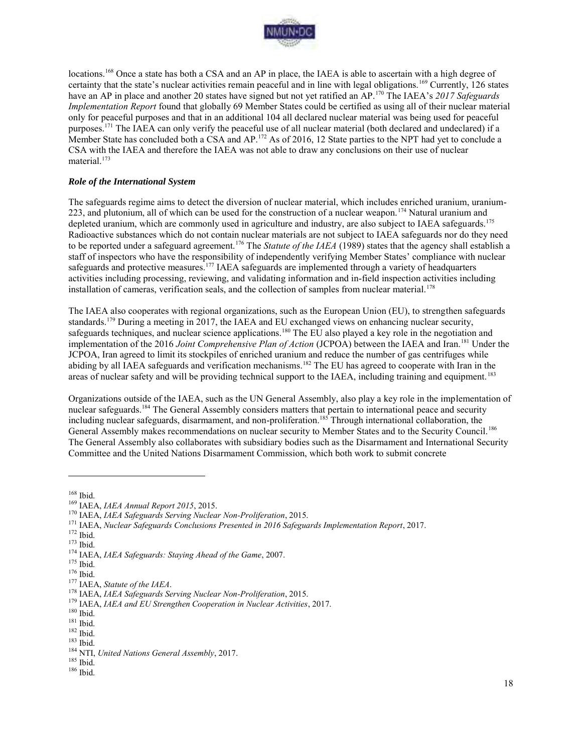

locations.<sup>168</sup> Once a state has both a CSA and an AP in place, the IAEA is able to ascertain with a high degree of certainty that the state's nuclear activities remain peaceful and in line with legal obligations.<sup>169</sup> Currently, 126 states have an AP in place and another 20 states have signed but not yet ratified an AP.<sup>170</sup> The IAEA's *2017 Safeguards Implementation Report* found that globally 69 Member States could be certified as using all of their nuclear material only for peaceful purposes and that in an additional 104 all declared nuclear material was being used for peaceful purposes.<sup>171</sup> The IAEA can only verify the peaceful use of all nuclear material (both declared and undeclared) if a Member State has concluded both a CSA and AP.<sup>172</sup> As of 2016, 12 State parties to the NPT had yet to conclude a CSA with the IAEA and therefore the IAEA was not able to draw any conclusions on their use of nuclear material.<sup>173</sup>

#### *Role of the International System*

The safeguards regime aims to detect the diversion of nuclear material, which includes enriched uranium, uranium-223, and plutonium, all of which can be used for the construction of a nuclear weapon.<sup>174</sup> Natural uranium and depleted uranium, which are commonly used in agriculture and industry, are also subject to IAEA safeguards.<sup>175</sup> Radioactive substances which do not contain nuclear materials are not subject to IAEA safeguards nor do they need to be reported under a safeguard agreement.<sup>176</sup> The *Statute of the IAEA* (1989) states that the agency shall establish a staff of inspectors who have the responsibility of independently verifying Member States' compliance with nuclear safeguards and protective measures.<sup>177</sup> IAEA safeguards are implemented through a variety of headquarters activities including processing, reviewing, and validating information and in-field inspection activities including installation of cameras, verification seals, and the collection of samples from nuclear material.<sup>178</sup>

The IAEA also cooperates with regional organizations, such as the European Union (EU), to strengthen safeguards standards.<sup>179</sup> During a meeting in 2017, the IAEA and EU exchanged views on enhancing nuclear security, safeguards techniques, and nuclear science applications.<sup>180</sup> The EU also played a key role in the negotiation and implementation of the 2016 *Joint Comprehensive Plan of Action* (JCPOA) between the IAEA and Iran.<sup>181</sup> Under the JCPOA, Iran agreed to limit its stockpiles of enriched uranium and reduce the number of gas centrifuges while abiding by all IAEA safeguards and verification mechanisms.<sup>182</sup> The EU has agreed to cooperate with Iran in the areas of nuclear safety and will be providing technical support to the IAEA, including training and equipment.<sup>183</sup>

Organizations outside of the IAEA, such as the UN General Assembly, also play a key role in the implementation of nuclear safeguards.<sup>184</sup> The General Assembly considers matters that pertain to international peace and security including nuclear safeguards, disarmament, and non-proliferation.<sup>185</sup> Through international collaboration, the General Assembly makes recommendations on nuclear security to Member States and to the Security Council.<sup>186</sup> The General Assembly also collaborates with subsidiary bodies such as the Disarmament and International Security Committee and the United Nations Disarmament Commission, which both work to submit concrete

<sup>168</sup> Ibid.

<sup>169</sup> IAEA, *IAEA Annual Report 2015*, 2015.

<sup>170</sup> IAEA, *IAEA Safeguards Serving Nuclear Non-Proliferation*, 2015.

<sup>171</sup> IAEA, *Nuclear Safeguards Conclusions Presented in 2016 Safeguards Implementation Report*, 2017.

 $172$  Ibid.

 $173$  Ibid.

<sup>174</sup> IAEA, *IAEA Safeguards: Staying Ahead of the Game*, 2007.

 $175$  Ibid.

<sup>176</sup> Ibid.

<sup>177</sup> IAEA, *Statute of the IAEA*.

<sup>178</sup> IAEA, *IAEA Safeguards Serving Nuclear Non-Proliferation*, 2015.

<sup>179</sup> IAEA, *IAEA and EU Strengthen Cooperation in Nuclear Activities*, 2017.

 $^{\rm 180}$  Ibid.

 $^{181}$  Ibid.

<sup>182</sup> Ibid.

<sup>183</sup> Ibid.

<sup>184</sup> NTI, *United Nations General Assembly*, 2017.

<sup>185</sup> Ibid.

<sup>186</sup> Ibid.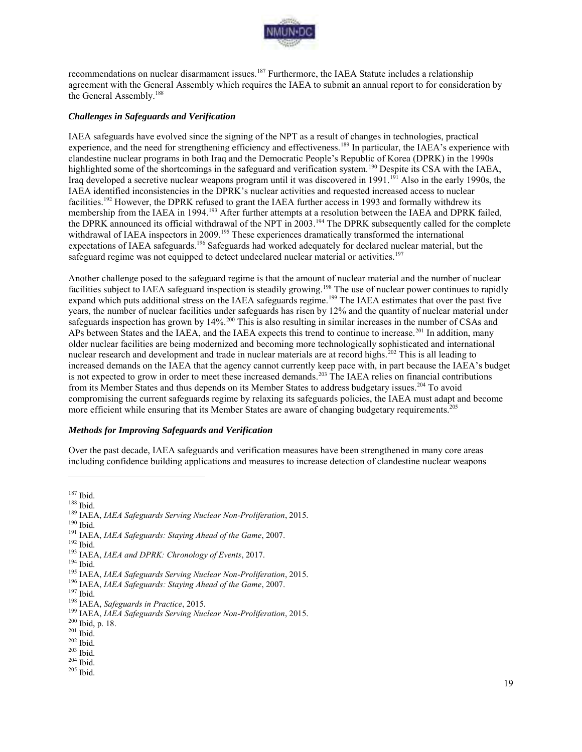

recommendations on nuclear disarmament issues.<sup>187</sup> Furthermore, the IAEA Statute includes a relationship agreement with the General Assembly which requires the IAEA to submit an annual report to for consideration by the General Assembly.<sup>188</sup>

#### *Challenges in Safeguards and Verification*

IAEA safeguards have evolved since the signing of the NPT as a result of changes in technologies, practical experience, and the need for strengthening efficiency and effectiveness.<sup>189</sup> In particular, the IAEA's experience with clandestine nuclear programs in both Iraq and the Democratic People's Republic of Korea (DPRK) in the 1990s highlighted some of the shortcomings in the safeguard and verification system.<sup>190</sup> Despite its CSA with the IAEA, Iraq developed a secretive nuclear weapons program until it was discovered in 1991.<sup>191</sup> Also in the early 1990s, the IAEA identified inconsistencies in the DPRK's nuclear activities and requested increased access to nuclear facilities.<sup>192</sup> However, the DPRK refused to grant the IAEA further access in 1993 and formally withdrew its membership from the IAEA in 1994.<sup>193</sup> After further attempts at a resolution between the IAEA and DPRK failed, the DPRK announced its official withdrawal of the NPT in 2003.<sup>194</sup> The DPRK subsequently called for the complete withdrawal of IAEA inspectors in 2009.<sup>195</sup> These experiences dramatically transformed the international expectations of IAEA safeguards.<sup>196</sup> Safeguards had worked adequately for declared nuclear material, but the safeguard regime was not equipped to detect undeclared nuclear material or activities.<sup>197</sup>

Another challenge posed to the safeguard regime is that the amount of nuclear material and the number of nuclear facilities subject to IAEA safeguard inspection is steadily growing.<sup>198</sup> The use of nuclear power continues to rapidly expand which puts additional stress on the IAEA safeguards regime.<sup>199</sup> The IAEA estimates that over the past five years, the number of nuclear facilities under safeguards has risen by 12% and the quantity of nuclear material under safeguards inspection has grown by 14%.<sup>200</sup> This is also resulting in similar increases in the number of CSAs and APs between States and the IAEA, and the IAEA expects this trend to continue to increase.<sup>201</sup> In addition, many older nuclear facilities are being modernized and becoming more technologically sophisticated and international nuclear research and development and trade in nuclear materials are at record highs.<sup>202</sup> This is all leading to increased demands on the IAEA that the agency cannot currently keep pace with, in part because the IAEA's budget is not expected to grow in order to meet these increased demands.<sup>203</sup> The IAEA relies on financial contributions from its Member States and thus depends on its Member States to address budgetary issues.<sup>204</sup> To avoid compromising the current safeguards regime by relaxing its safeguards policies, the IAEA must adapt and become more efficient while ensuring that its Member States are aware of changing budgetary requirements.<sup>205</sup>

#### *Methods for Improving Safeguards and Verification*

Over the past decade, IAEA safeguards and verification measures have been strengthened in many core areas including confidence building applications and measures to increase detection of clandestine nuclear weapons

 $\overline{a}$ 

<sup>200</sup> Ibid, p. 18.

 $205$ Ibid.

<sup>187</sup> Ibid.

<sup>188</sup> Ibid.

<sup>189</sup> IAEA, *IAEA Safeguards Serving Nuclear Non-Proliferation*, 2015.

 $^{190}$  Ibid.

<sup>191</sup> IAEA, *IAEA Safeguards: Staying Ahead of the Game*, 2007.

<sup>192</sup> Ibid.

<sup>193</sup> IAEA, *IAEA and DPRK: Chronology of Events*, 2017.

<sup>194</sup> Ibid.

<sup>195</sup> IAEA, *IAEA Safeguards Serving Nuclear Non-Proliferation*, 2015.

<sup>196</sup> IAEA, *IAEA Safeguards: Staying Ahead of the Game*, 2007.

<sup>197</sup> Ibid.

<sup>198</sup> IAEA, *Safeguards in Practice*, 2015.

<sup>199</sup> IAEA, *IAEA Safeguards Serving Nuclear Non-Proliferation*, 2015.

<sup>201</sup> Ibid.

<sup>202</sup> Ibid.

<sup>203</sup> Ibid.

 $204$  Ibid.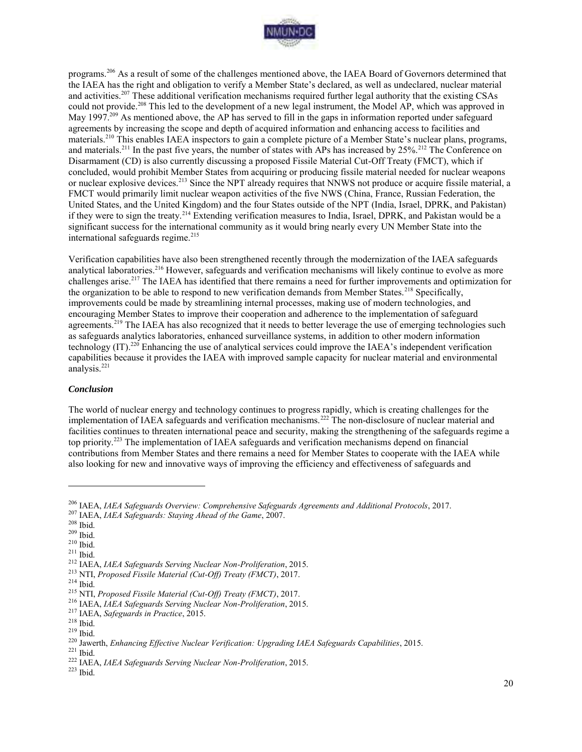

programs.<sup>206</sup> As a result of some of the challenges mentioned above, the IAEA Board of Governors determined that the IAEA has the right and obligation to verify a Member State's declared, as well as undeclared, nuclear material and activities.<sup>207</sup> These additional verification mechanisms required further legal authority that the existing CSAs could not provide.<sup>208</sup> This led to the development of a new legal instrument, the Model AP, which was approved in May 1997.<sup>209</sup> As mentioned above, the AP has served to fill in the gaps in information reported under safeguard agreements by increasing the scope and depth of acquired information and enhancing access to facilities and materials.<sup>210</sup> This enables IAEA inspectors to gain a complete picture of a Member State's nuclear plans, programs, and materials.<sup>211</sup> In the past five years, the number of states with APs has increased by  $25\%$ .<sup>212</sup> The Conference on Disarmament (CD) is also currently discussing a proposed Fissile Material Cut-Off Treaty (FMCT), which if concluded, would prohibit Member States from acquiring or producing fissile material needed for nuclear weapons or nuclear explosive devices.<sup>213</sup> Since the NPT already requires that NNWS not produce or acquire fissile material, a FMCT would primarily limit nuclear weapon activities of the five NWS (China, France, Russian Federation, the United States, and the United Kingdom) and the four States outside of the NPT (India, Israel, DPRK, and Pakistan) if they were to sign the treaty.<sup>214</sup> Extending verification measures to India, Israel, DPRK, and Pakistan would be a significant success for the international community as it would bring nearly every UN Member State into the international safeguards regime.<sup>215</sup>

Verification capabilities have also been strengthened recently through the modernization of the IAEA safeguards analytical laboratories.<sup>216</sup> However, safeguards and verification mechanisms will likely continue to evolve as more challenges arise.<sup>217</sup> The IAEA has identified that there remains a need for further improvements and optimization for the organization to be able to respond to new verification demands from Member States.<sup>218</sup> Specifically, improvements could be made by streamlining internal processes, making use of modern technologies, and encouraging Member States to improve their cooperation and adherence to the implementation of safeguard agreements.<sup>219</sup> The IAEA has also recognized that it needs to better leverage the use of emerging technologies such as safeguards analytics laboratories, enhanced surveillance systems, in addition to other modern information technology (IT).<sup>220</sup> Enhancing the use of analytical services could improve the IAEA's independent verification capabilities because it provides the IAEA with improved sample capacity for nuclear material and environmental analysis.<sup>221</sup>

#### *Conclusion*

The world of nuclear energy and technology continues to progress rapidly, which is creating challenges for the implementation of IAEA safeguards and verification mechanisms.<sup>222</sup> The non-disclosure of nuclear material and facilities continues to threaten international peace and security, making the strengthening of the safeguards regime a top priority.<sup>223</sup> The implementation of IAEA safeguards and verification mechanisms depend on financial contributions from Member States and there remains a need for Member States to cooperate with the IAEA while also looking for new and innovative ways of improving the efficiency and effectiveness of safeguards and

 $\overline{a}$ 

<sup>213</sup> NTI, *Proposed Fissile Material (Cut-Off) Treaty (FMCT)*, 2017.

 $^{214}$  Ibid.

<sup>206</sup> IAEA, *IAEA Safeguards Overview: Comprehensive Safeguards Agreements and Additional Protocols*, 2017.

<sup>207</sup> IAEA, *IAEA Safeguards: Staying Ahead of the Game*, 2007.

<sup>208</sup> Ibid.

<sup>209</sup> Ibid.

 $210$  Ibid.

<sup>211</sup> Ibid.

<sup>212</sup> IAEA, *IAEA Safeguards Serving Nuclear Non-Proliferation*, 2015.

<sup>215</sup> NTI, *Proposed Fissile Material (Cut-Off) Treaty (FMCT)*, 2017.

<sup>216</sup> IAEA, *IAEA Safeguards Serving Nuclear Non-Proliferation*, 2015.

<sup>217</sup> IAEA, *Safeguards in Practice*, 2015.

<sup>218</sup> Ibid.

<sup>219</sup> Ibid.

<sup>220</sup> Jawerth, *Enhancing Effective Nuclear Verification: Upgrading IAEA Safeguards Capabilities*, 2015.

<sup>221</sup> Ibid.

<sup>222</sup> IAEA, *IAEA Safeguards Serving Nuclear Non-Proliferation*, 2015.

<sup>223</sup> Ibid.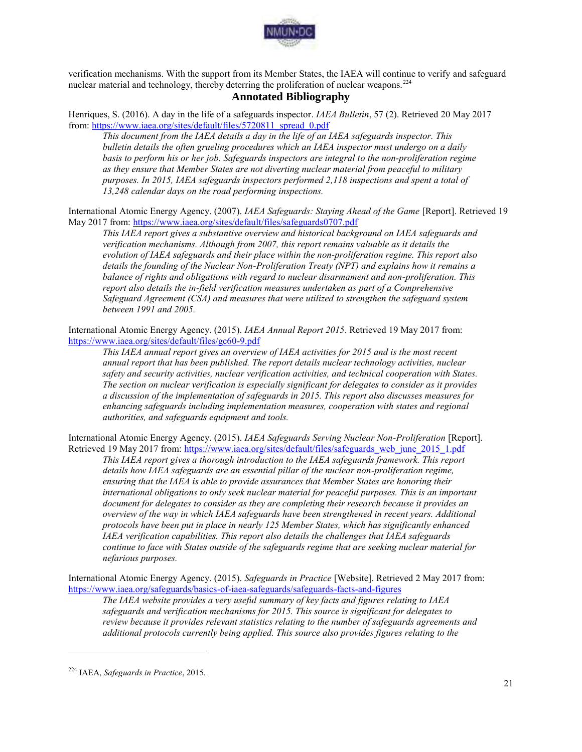

verification mechanisms. With the support from its Member States, the IAEA will continue to verify and safeguard nuclear material and technology, thereby deterring the proliferation of nuclear weapons.<sup>224</sup>

# **Annotated Bibliography**

Henriques, S. (2016). A day in the life of a safeguards inspector. *IAEA Bulletin*, 57 (2). Retrieved 20 May 2017 from[: https://www.iaea.org/sites/default/files/5720811\\_spread\\_0.pdf](https://www.iaea.org/sites/default/files/5720811_spread_0.pdf)

*This document from the IAEA details a day in the life of an IAEA safeguards inspector. This bulletin details the often grueling procedures which an IAEA inspector must undergo on a daily*  basis to perform his or her job. Safeguards inspectors are integral to the non-proliferation regime *as they ensure that Member States are not diverting nuclear material from peaceful to military purposes. In 2015, IAEA safeguards inspectors performed 2,118 inspections and spent a total of 13,248 calendar days on the road performing inspections.* 

International Atomic Energy Agency. (2007). *IAEA Safeguards: Staying Ahead of the Game* [Report]. Retrieved 19 May 2017 from:<https://www.iaea.org/sites/default/files/safeguards0707.pdf>

*This IAEA report gives a substantive overview and historical background on IAEA safeguards and verification mechanisms. Although from 2007, this report remains valuable as it details the evolution of IAEA safeguards and their place within the non-proliferation regime. This report also details the founding of the Nuclear Non-Proliferation Treaty (NPT) and explains how it remains a balance of rights and obligations with regard to nuclear disarmament and non-proliferation. This report also details the in-field verification measures undertaken as part of a Comprehensive Safeguard Agreement (CSA) and measures that were utilized to strengthen the safeguard system between 1991 and 2005.* 

International Atomic Energy Agency. (2015). *IAEA Annual Report 2015*. Retrieved 19 May 2017 from: <https://www.iaea.org/sites/default/files/gc60-9.pdf>

*This IAEA annual report gives an overview of IAEA activities for 2015 and is the most recent annual report that has been published. The report details nuclear technology activities, nuclear safety and security activities, nuclear verification activities, and technical cooperation with States. The section on nuclear verification is especially significant for delegates to consider as it provides a discussion of the implementation of safeguards in 2015. This report also discusses measures for enhancing safeguards including implementation measures, cooperation with states and regional authorities, and safeguards equipment and tools.* 

International Atomic Energy Agency. (2015). *IAEA Safeguards Serving Nuclear Non-Proliferation* [Report]. Retrieved 19 May 2017 from: [https://www.iaea.org/sites/default/files/safeguards\\_web\\_june\\_2015\\_1.pdf](https://www.iaea.org/sites/default/files/safeguards_web_june_2015_1.pdf)

*This IAEA report gives a thorough introduction to the IAEA safeguards framework. This report details how IAEA safeguards are an essential pillar of the nuclear non-proliferation regime, ensuring that the IAEA is able to provide assurances that Member States are honoring their international obligations to only seek nuclear material for peaceful purposes. This is an important document for delegates to consider as they are completing their research because it provides an overview of the way in which IAEA safeguards have been strengthened in recent years. Additional protocols have been put in place in nearly 125 Member States, which has significantly enhanced IAEA verification capabilities. This report also details the challenges that IAEA safeguards continue to face with States outside of the safeguards regime that are seeking nuclear material for nefarious purposes.* 

International Atomic Energy Agency. (2015). *Safeguards in Practice* [Website]. Retrieved 2 May 2017 from: <https://www.iaea.org/safeguards/basics-of-iaea-safeguards/safeguards-facts-and-figures>

*The IAEA website provides a very useful summary of key facts and figures relating to IAEA safeguards and verification mechanisms for 2015. This source is significant for delegates to review because it provides relevant statistics relating to the number of safeguards agreements and additional protocols currently being applied. This source also provides figures relating to the* 

<sup>224</sup> IAEA, *Safeguards in Practice*, 2015.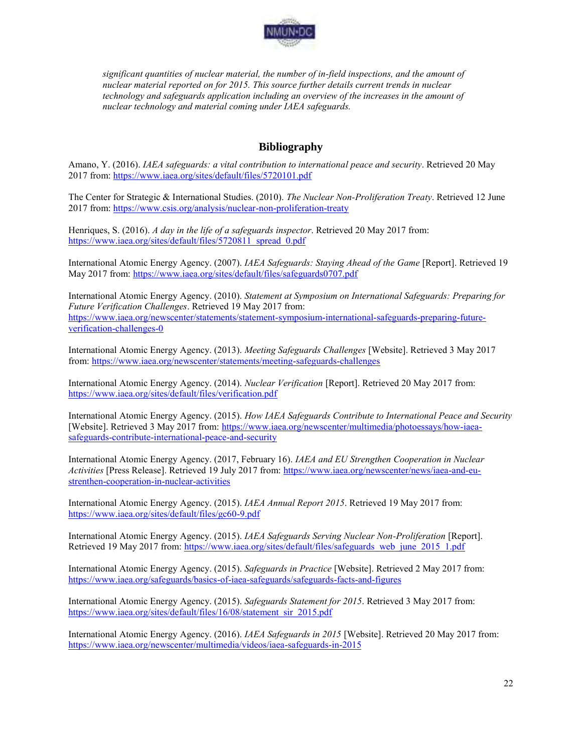

*significant quantities of nuclear material, the number of in-field inspections, and the amount of nuclear material reported on for 2015. This source further details current trends in nuclear technology and safeguards application including an overview of the increases in the amount of nuclear technology and material coming under IAEA safeguards.*

# **Bibliography**

Amano, Y. (2016). *IAEA safeguards: a vital contribution to international peace and security*. Retrieved 20 May 2017 from:<https://www.iaea.org/sites/default/files/5720101.pdf>

The Center for Strategic & International Studies. (2010). *The Nuclear Non-Proliferation Treaty*. Retrieved 12 June 2017 from:<https://www.csis.org/analysis/nuclear-non-proliferation-treaty>

Henriques, S. (2016). *A day in the life of a safeguards inspector*. Retrieved 20 May 2017 from: [https://www.iaea.org/sites/default/files/5720811\\_spread\\_0.pdf](https://www.iaea.org/sites/default/files/5720811_spread_0.pdf)

International Atomic Energy Agency. (2007). *IAEA Safeguards: Staying Ahead of the Game* [Report]. Retrieved 19 May 2017 from:<https://www.iaea.org/sites/default/files/safeguards0707.pdf>

International Atomic Energy Agency. (2010). *Statement at Symposium on International Safeguards: Preparing for Future Verification Challenges*. Retrieved 19 May 2017 from: [https://www.iaea.org/newscenter/statements/statement-symposium-international-safeguards-preparing-future](https://www.iaea.org/newscenter/statements/statement-symposium-international-safeguards-preparing-future-verification-challenges-0)[verification-challenges-0](https://www.iaea.org/newscenter/statements/statement-symposium-international-safeguards-preparing-future-verification-challenges-0)

International Atomic Energy Agency. (2013). *Meeting Safeguards Challenges* [Website]. Retrieved 3 May 2017 from[: https://www.iaea.org/newscenter/statements/meeting-safeguards-challenges](https://www.iaea.org/newscenter/statements/meeting-safeguards-challenges)

International Atomic Energy Agency. (2014). *Nuclear Verification* [Report]. Retrieved 20 May 2017 from: <https://www.iaea.org/sites/default/files/verification.pdf>

International Atomic Energy Agency. (2015). *How IAEA Safeguards Contribute to International Peace and Security* [Website]. Retrieved 3 May 2017 from: [https://www.iaea.org/newscenter/multimedia/photoessays/how-iaea](https://www.iaea.org/newscenter/multimedia/photoessays/how-iaea-safeguards-contribute-international-peace-and-security)[safeguards-contribute-international-peace-and-security](https://www.iaea.org/newscenter/multimedia/photoessays/how-iaea-safeguards-contribute-international-peace-and-security)

International Atomic Energy Agency. (2017, February 16). *IAEA and EU Strengthen Cooperation in Nuclear Activities* [Press Release]. Retrieved 19 July 2017 from: [https://www.iaea.org/newscenter/news/iaea-and-eu](https://www.iaea.org/newscenter/news/iaea-and-eu-strenthen-cooperation-in-nuclear-activities)[strenthen-cooperation-in-nuclear-activities](https://www.iaea.org/newscenter/news/iaea-and-eu-strenthen-cooperation-in-nuclear-activities)

International Atomic Energy Agency. (2015). *IAEA Annual Report 2015*. Retrieved 19 May 2017 from: <https://www.iaea.org/sites/default/files/gc60-9.pdf>

International Atomic Energy Agency. (2015). *IAEA Safeguards Serving Nuclear Non-Proliferation* [Report]. Retrieved 19 May 2017 from: https://www.iaea.org/sites/default/files/safeguards web june 2015 1.pdf

International Atomic Energy Agency. (2015). *Safeguards in Practice* [Website]. Retrieved 2 May 2017 from: <https://www.iaea.org/safeguards/basics-of-iaea-safeguards/safeguards-facts-and-figures>

International Atomic Energy Agency. (2015). *Safeguards Statement for 2015*. Retrieved 3 May 2017 from: [https://www.iaea.org/sites/default/files/16/08/statement\\_sir\\_2015.pdf](https://www.iaea.org/sites/default/files/16/08/statement_sir_2015.pdf)

International Atomic Energy Agency. (2016). *IAEA Safeguards in 2015* [Website]. Retrieved 20 May 2017 from: <https://www.iaea.org/newscenter/multimedia/videos/iaea-safeguards-in-2015>